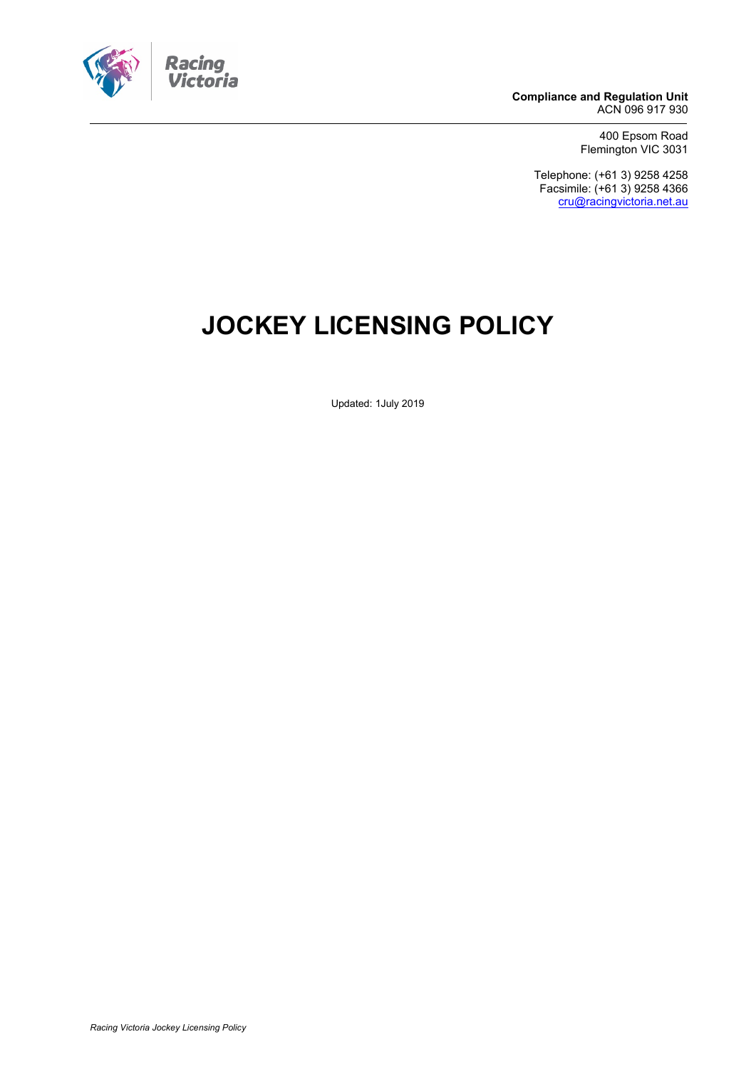

**Compliance and Regulation Unit** ACN 096 917 930

> 400 Epsom Road Flemington VIC 3031

Telephone: (+61 3) 9258 4258 Facsimile: (+61 3) 9258 4366 [cru@racingvictoria.net.au](mailto:cru@racingvictoria.net.au)

# **JOCKEY LICENSING POLICY**

Updated: 1July 2019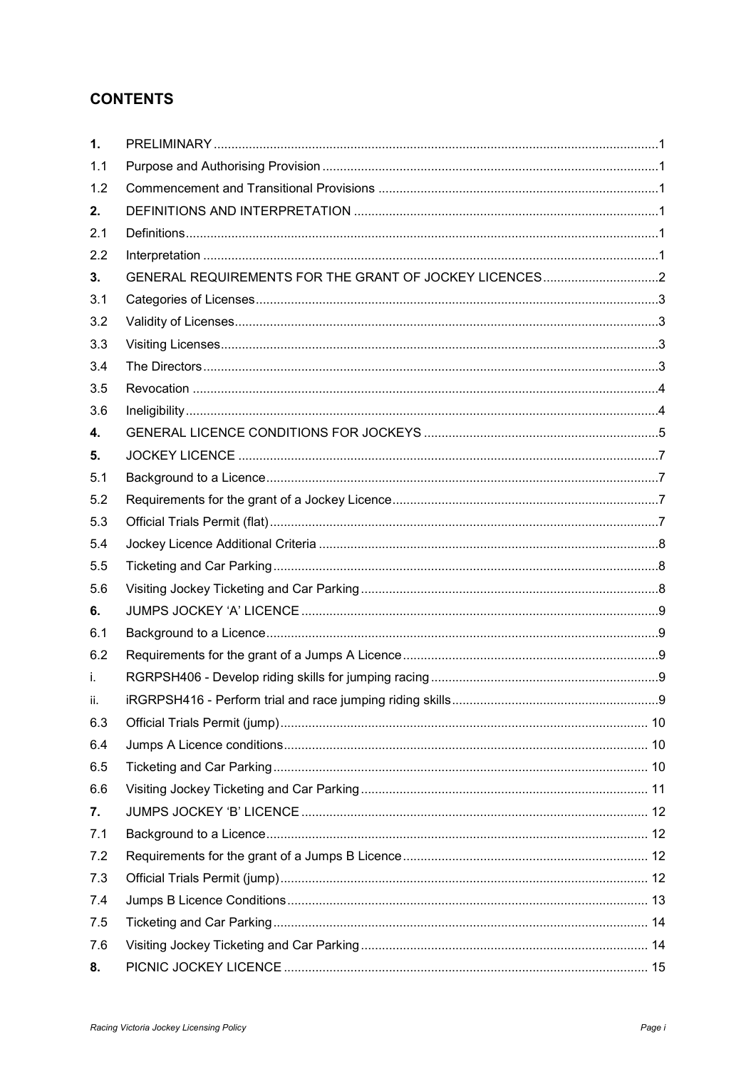# **CONTENTS**

| $\mathbf{1}$ . |  |
|----------------|--|
| 1.1            |  |
| 1.2            |  |
| 2.             |  |
| 2.1            |  |
| 2.2            |  |
| 3.             |  |
| 3.1            |  |
| 3.2            |  |
| 3.3            |  |
| 3.4            |  |
| 3.5            |  |
| 3.6            |  |
| 4.             |  |
| 5.             |  |
| 5.1            |  |
| 5.2            |  |
| 5.3            |  |
| 5.4            |  |
| 5.5            |  |
| 5.6            |  |
| 6.             |  |
| 6.1            |  |
| 6.2            |  |
| i.             |  |
| ii.            |  |
| 6.3            |  |
| 6.4            |  |
| 6.5            |  |
| 6.6            |  |
| 7.             |  |
| 7.1            |  |
| 7.2            |  |
| 7.3            |  |
| 7.4            |  |
| 7.5            |  |
| 7.6            |  |
| 8.             |  |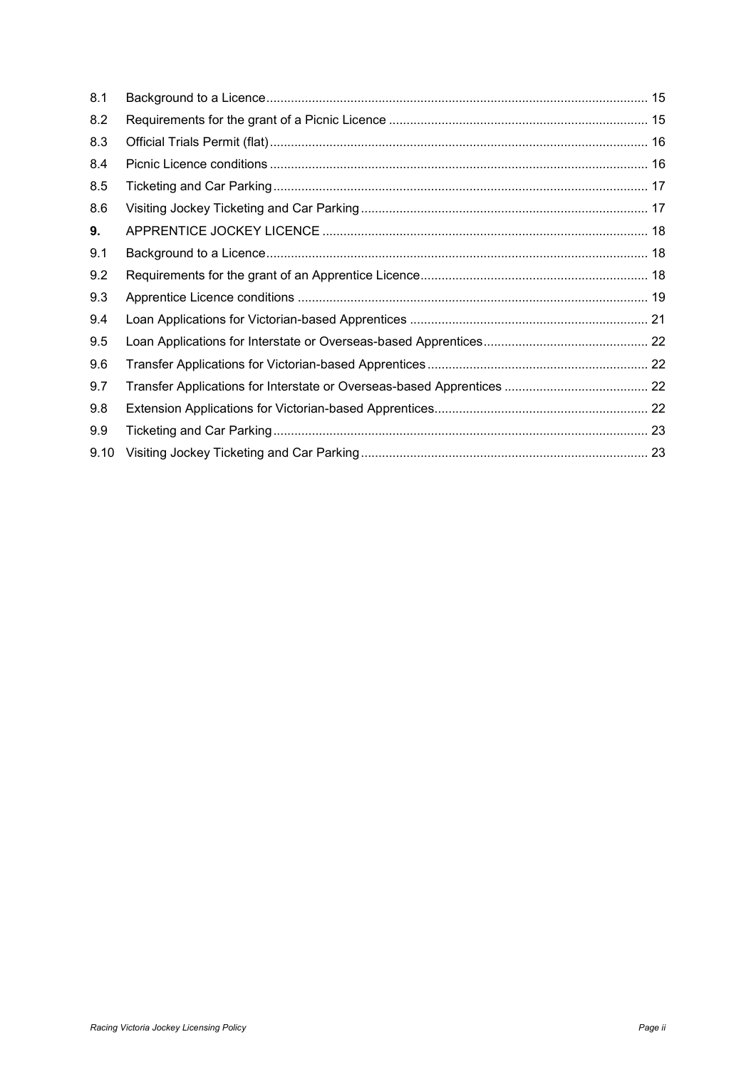| 8.1  |  |
|------|--|
| 8.2  |  |
| 8.3  |  |
| 8.4  |  |
| 8.5  |  |
| 8.6  |  |
| 9.   |  |
| 9.1  |  |
| 9.2  |  |
| 9.3  |  |
| 9.4  |  |
| 9.5  |  |
| 9.6  |  |
| 9.7  |  |
| 9.8  |  |
| 9.9  |  |
| 9.10 |  |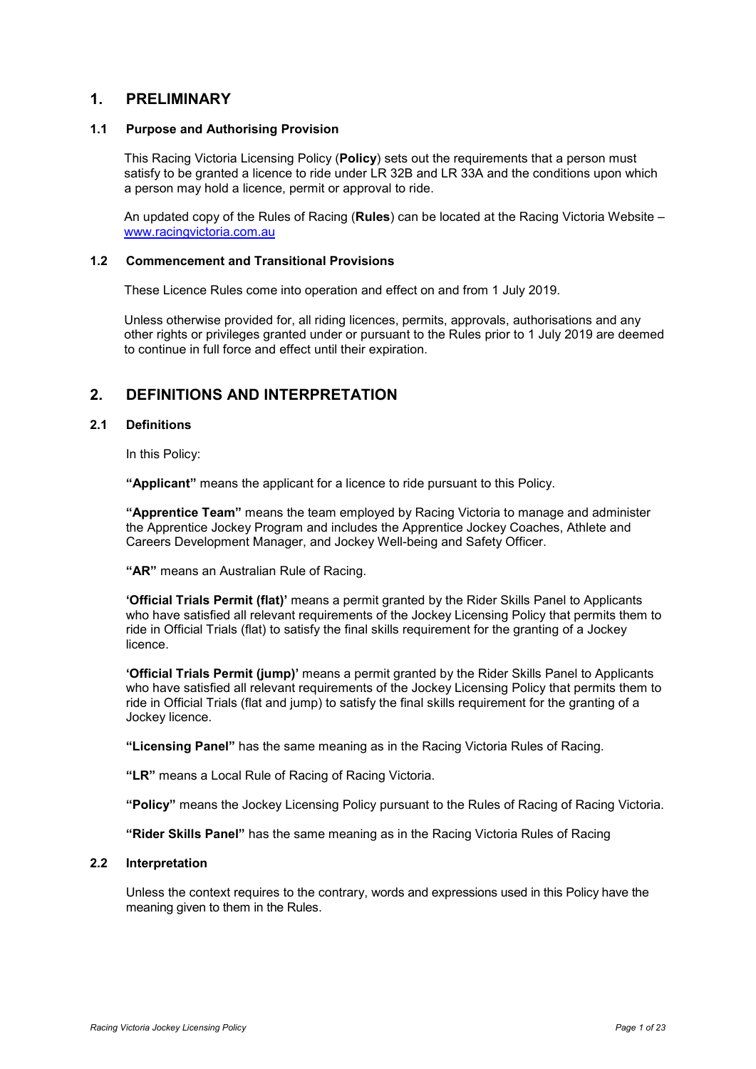# <span id="page-3-0"></span>**1. PRELIMINARY**

#### <span id="page-3-1"></span>**1.1 Purpose and Authorising Provision**

This Racing Victoria Licensing Policy (**Policy**) sets out the requirements that a person must satisfy to be granted a licence to ride under LR 32B and LR 33A and the conditions upon which a person may hold a licence, permit or approval to ride.

An updated copy of the Rules of Racing (**Rules**) can be located at the Racing Victoria Website – www.racingvictoria.com.au

#### <span id="page-3-2"></span>**1.2 Commencement and Transitional Provisions**

These Licence Rules come into operation and effect on and from 1 July 2019.

Unless otherwise provided for, all riding licences, permits, approvals, authorisations and any other rights or privileges granted under or pursuant to the Rules prior to 1 July 2019 are deemed to continue in full force and effect until their expiration.

# <span id="page-3-3"></span>**2. DEFINITIONS AND INTERPRETATION**

## <span id="page-3-4"></span>**2.1 Definitions**

In this Policy:

**"Applicant"** means the applicant for a licence to ride pursuant to this Policy.

**"Apprentice Team"** means the team employed by Racing Victoria to manage and administer the Apprentice Jockey Program and includes the Apprentice Jockey Coaches, Athlete and Careers Development Manager, and Jockey Well-being and Safety Officer.

**"AR"** means an Australian Rule of Racing.

**'Official Trials Permit (flat)'** means a permit granted by the Rider Skills Panel to Applicants who have satisfied all relevant requirements of the Jockey Licensing Policy that permits them to ride in Official Trials (flat) to satisfy the final skills requirement for the granting of a Jockey licence.

**'Official Trials Permit (jump)'** means a permit granted by the Rider Skills Panel to Applicants who have satisfied all relevant requirements of the Jockey Licensing Policy that permits them to ride in Official Trials (flat and jump) to satisfy the final skills requirement for the granting of a Jockey licence.

**"Licensing Panel"** has the same meaning as in the Racing Victoria Rules of Racing.

**"LR"** means a Local Rule of Racing of Racing Victoria.

**"Policy"** means the Jockey Licensing Policy pursuant to the Rules of Racing of Racing Victoria.

**"Rider Skills Panel"** has the same meaning as in the Racing Victoria Rules of Racing

#### <span id="page-3-5"></span>**2.2 Interpretation**

Unless the context requires to the contrary, words and expressions used in this Policy have the meaning given to them in the Rules.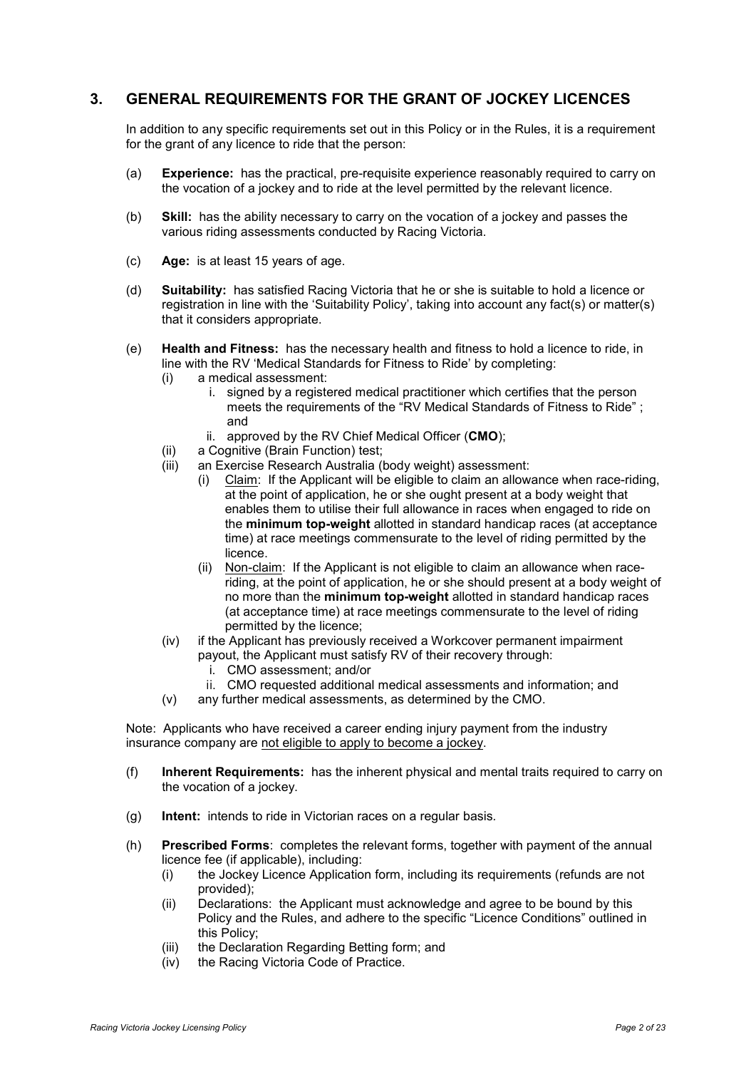# <span id="page-4-0"></span>**3. GENERAL REQUIREMENTS FOR THE GRANT OF JOCKEY LICENCES**

In addition to any specific requirements set out in this Policy or in the Rules, it is a requirement for the grant of any licence to ride that the person:

- (a) **Experience:** has the practical, pre-requisite experience reasonably required to carry on the vocation of a jockey and to ride at the level permitted by the relevant licence.
- (b) **Skill:** has the ability necessary to carry on the vocation of a jockey and passes the various riding assessments conducted by Racing Victoria.
- (c) **Age:** is at least 15 years of age.
- (d) **Suitability:** has satisfied Racing Victoria that he or she is suitable to hold a licence or registration in line with the 'Suitability Policy', taking into account any fact(s) or matter(s) that it considers appropriate.
- (e) **Health and Fitness:** has the necessary health and fitness to hold a licence to ride, in line with the RV 'Medical Standards for Fitness to Ride' by completing:
	- (i) a medical assessment:
		- i. signed by a registered medical practitioner which certifies that the person meets the requirements of the "RV Medical Standards of Fitness to Ride" : and
		- ii. approved by the RV Chief Medical Officer (**CMO**);
	- (ii) a Cognitive (Brain Function) test;
	- (iii) an Exercise Research Australia (body weight) assessment:
		- (i) Claim: If the Applicant will be eligible to claim an allowance when race-riding, at the point of application, he or she ought present at a body weight that enables them to utilise their full allowance in races when engaged to ride on the **minimum top-weight** allotted in standard handicap races (at acceptance time) at race meetings commensurate to the level of riding permitted by the licence.
		- (ii) Non-claim: If the Applicant is not eligible to claim an allowance when raceriding, at the point of application, he or she should present at a body weight of no more than the **minimum top-weight** allotted in standard handicap races (at acceptance time) at race meetings commensurate to the level of riding permitted by the licence;
	- (iv) if the Applicant has previously received a Workcover permanent impairment payout, the Applicant must satisfy RV of their recovery through:
		- i. CMO assessment; and/or
		- ii. CMO requested additional medical assessments and information; and
	- (v) any further medical assessments, as determined by the CMO.

Note: Applicants who have received a career ending injury payment from the industry insurance company are not eligible to apply to become a jockey.

- (f) **Inherent Requirements:** has the inherent physical and mental traits required to carry on the vocation of a jockey.
- (g) **Intent:** intends to ride in Victorian races on a regular basis*.*
- (h) **Prescribed Forms**: completes the relevant forms, together with payment of the annual licence fee (if applicable), including:
	- (i) the Jockey Licence Application form, including its requirements (refunds are not provided);
	- (ii) Declarations: the Applicant must acknowledge and agree to be bound by this Policy and the Rules, and adhere to the specific "Licence Conditions" outlined in this Policy;
	- (iii) the Declaration Regarding Betting form; and
	- (iv) the Racing Victoria Code of Practice.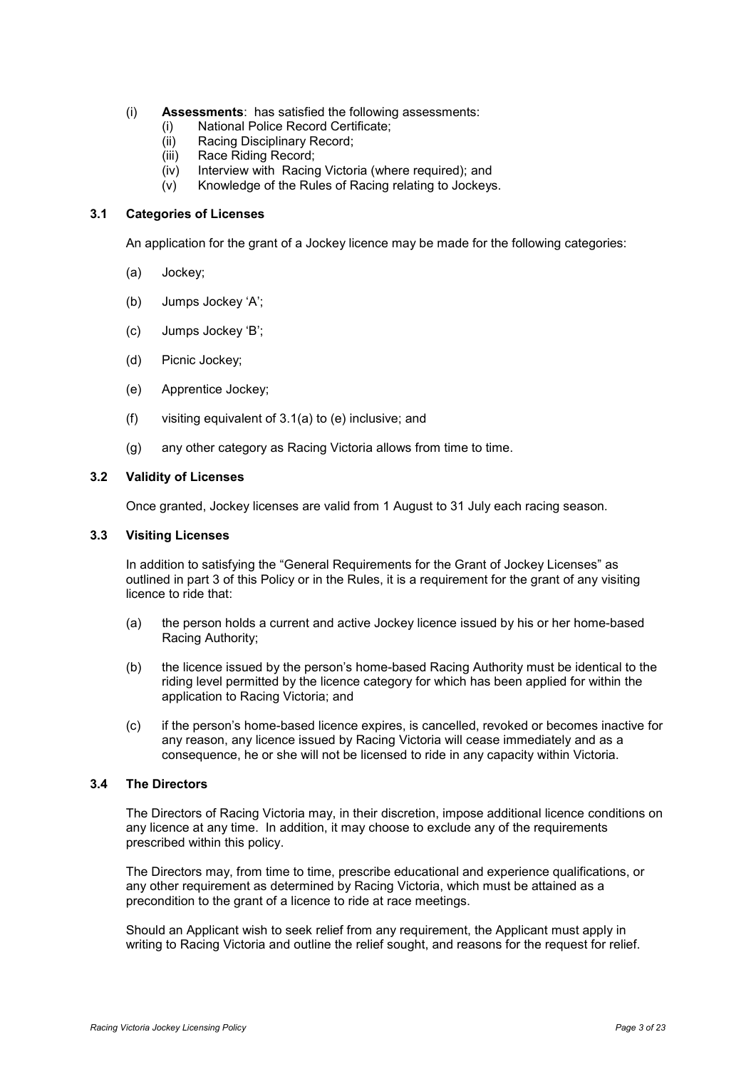- (i) **Assessments**: has satisfied the following assessments:
	- (i) National Police Record Certificate;
	- (ii) Racing Disciplinary Record;
	- (iii) Race Riding Record;
	- (iv) Interview with Racing Victoria (where required); and
	- (v) Knowledge of the Rules of Racing relating to Jockeys.

# <span id="page-5-0"></span>**3.1 Categories of Licenses**

An application for the grant of a Jockey licence may be made for the following categories:

- (a) Jockey;
- (b) Jumps Jockey 'A';
- (c) Jumps Jockey 'B';
- (d) Picnic Jockey;
- (e) Apprentice Jockey;
- (f) visiting equivalent of 3.1(a) to (e) inclusive; and
- (g) any other category as Racing Victoria allows from time to time.

#### <span id="page-5-1"></span>**3.2 Validity of Licenses**

Once granted, Jockey licenses are valid from 1 August to 31 July each racing season.

#### <span id="page-5-2"></span>**3.3 Visiting Licenses**

In addition to satisfying the "General Requirements for the Grant of Jockey Licenses" as outlined in part 3 of this Policy or in the Rules, it is a requirement for the grant of any visiting licence to ride that:

- (a) the person holds a current and active Jockey licence issued by his or her home-based Racing Authority;
- (b) the licence issued by the person's home-based Racing Authority must be identical to the riding level permitted by the licence category for which has been applied for within the application to Racing Victoria; and
- (c) if the person's home-based licence expires, is cancelled, revoked or becomes inactive for any reason, any licence issued by Racing Victoria will cease immediately and as a consequence, he or she will not be licensed to ride in any capacity within Victoria.

#### <span id="page-5-3"></span>**3.4 The Directors**

The Directors of Racing Victoria may, in their discretion, impose additional licence conditions on any licence at any time. In addition, it may choose to exclude any of the requirements prescribed within this policy.

The Directors may, from time to time, prescribe educational and experience qualifications, or any other requirement as determined by Racing Victoria, which must be attained as a precondition to the grant of a licence to ride at race meetings.

Should an Applicant wish to seek relief from any requirement, the Applicant must apply in writing to Racing Victoria and outline the relief sought, and reasons for the request for relief.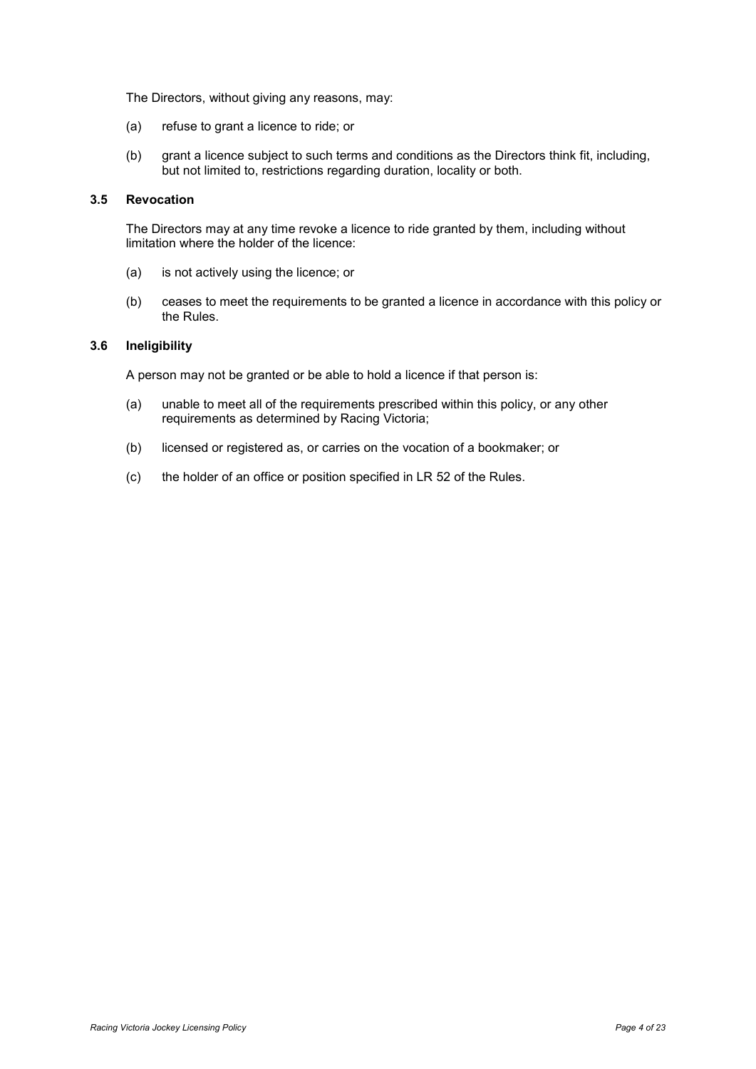The Directors, without giving any reasons, may:

- (a) refuse to grant a licence to ride; or
- (b) grant a licence subject to such terms and conditions as the Directors think fit, including, but not limited to, restrictions regarding duration, locality or both.

#### <span id="page-6-0"></span>**3.5 Revocation**

The Directors may at any time revoke a licence to ride granted by them, including without limitation where the holder of the licence:

- (a) is not actively using the licence; or
- (b) ceases to meet the requirements to be granted a licence in accordance with this policy or the Rules.

#### <span id="page-6-1"></span>**3.6 Ineligibility**

A person may not be granted or be able to hold a licence if that person is:

- (a) unable to meet all of the requirements prescribed within this policy, or any other requirements as determined by Racing Victoria;
- (b) licensed or registered as, or carries on the vocation of a bookmaker; or
- (c) the holder of an office or position specified in LR 52 of the Rules.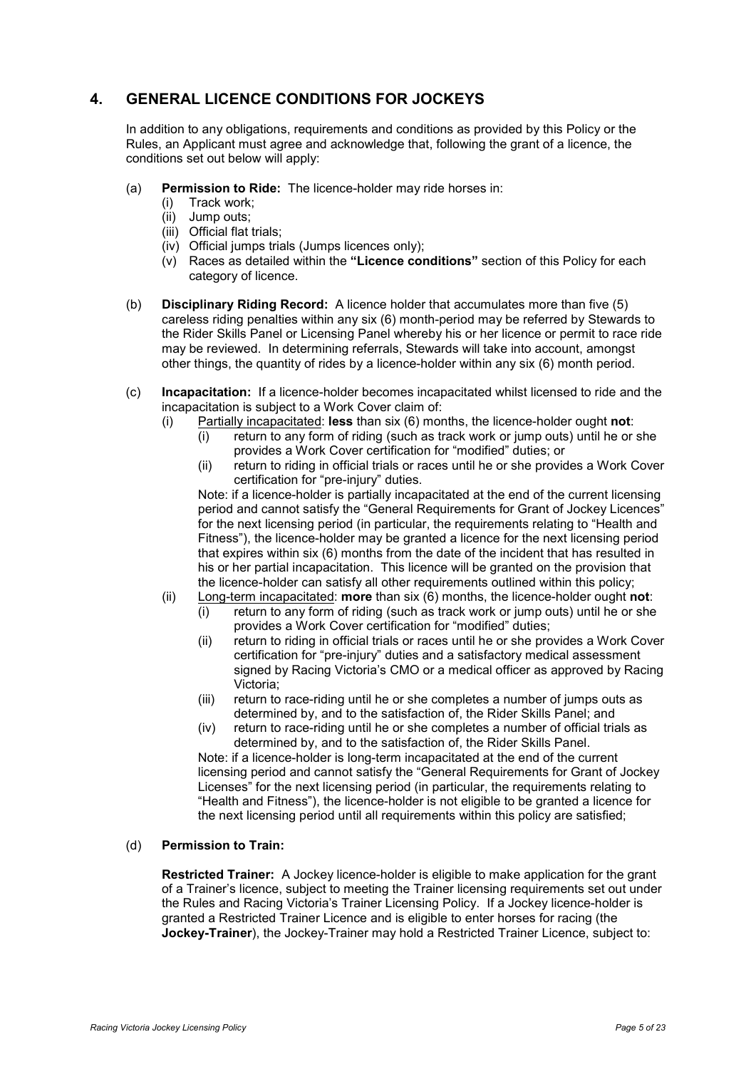# <span id="page-7-0"></span>**4. GENERAL LICENCE CONDITIONS FOR JOCKEYS**

In addition to any obligations, requirements and conditions as provided by this Policy or the Rules, an Applicant must agree and acknowledge that, following the grant of a licence, the conditions set out below will apply:

- (a) **Permission to Ride:** The licence-holder may ride horses in:
	- (i) Track work;
	- (ii) Jump outs;
	- (iii) Official flat trials;
	- (iv) Official jumps trials (Jumps licences only);
	- (v) Races as detailed within the **"Licence conditions"** section of this Policy for each category of licence.
- (b) **Disciplinary Riding Record:** A licence holder that accumulates more than five (5) careless riding penalties within any six (6) month-period may be referred by Stewards to the Rider Skills Panel or Licensing Panel whereby his or her licence or permit to race ride may be reviewed. In determining referrals, Stewards will take into account, amongst other things, the quantity of rides by a licence-holder within any six (6) month period.
- (c) **Incapacitation:** If a licence-holder becomes incapacitated whilst licensed to ride and the incapacitation is subject to a Work Cover claim of:
	- (i) Partially incapacitated: **less** than six (6) months, the licence-holder ought **not**:
		- (i) return to any form of riding (such as track work or jump outs) until he or she provides a Work Cover certification for "modified" duties; or
		- (ii) return to riding in official trials or races until he or she provides a Work Cover certification for "pre-injury" duties.

Note: if a licence-holder is partially incapacitated at the end of the current licensing period and cannot satisfy the "General Requirements for Grant of Jockey Licences" for the next licensing period (in particular, the requirements relating to "Health and Fitness"), the licence-holder may be granted a licence for the next licensing period that expires within six (6) months from the date of the incident that has resulted in his or her partial incapacitation. This licence will be granted on the provision that the licence-holder can satisfy all other requirements outlined within this policy;

- (ii) Long-term incapacitated: **more** than six (6) months, the licence-holder ought **not**:
	- $(i)$  return to any form of riding (such as track work or jump outs) until he or she provides a Work Cover certification for "modified" duties;
	- (ii) return to riding in official trials or races until he or she provides a Work Cover certification for "pre-injury" duties and a satisfactory medical assessment signed by Racing Victoria's CMO or a medical officer as approved by Racing Victoria;
	- (iii) return to race-riding until he or she completes a number of jumps outs as determined by, and to the satisfaction of, the Rider Skills Panel; and
	- (iv) return to race-riding until he or she completes a number of official trials as determined by, and to the satisfaction of, the Rider Skills Panel.

Note: if a licence-holder is long-term incapacitated at the end of the current licensing period and cannot satisfy the "General Requirements for Grant of Jockey Licenses" for the next licensing period (in particular, the requirements relating to "Health and Fitness"), the licence-holder is not eligible to be granted a licence for the next licensing period until all requirements within this policy are satisfied;

# (d) **Permission to Train:**

**Restricted Trainer:** A Jockey licence-holder is eligible to make application for the grant of a Trainer's licence, subject to meeting the Trainer licensing requirements set out under the Rules and Racing Victoria's Trainer Licensing Policy. If a Jockey licence-holder is granted a Restricted Trainer Licence and is eligible to enter horses for racing (the **Jockey-Trainer**), the Jockey-Trainer may hold a Restricted Trainer Licence, subject to: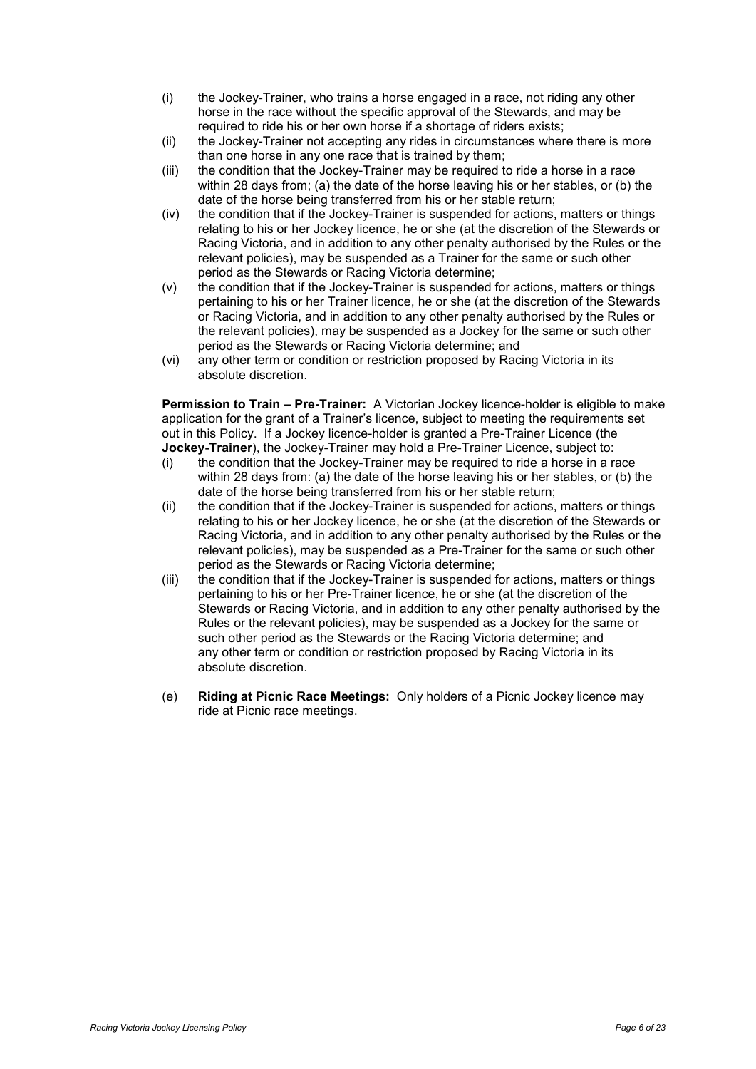- (i) the Jockey-Trainer, who trains a horse engaged in a race, not riding any other horse in the race without the specific approval of the Stewards, and may be required to ride his or her own horse if a shortage of riders exists;
- (ii) the Jockey-Trainer not accepting any rides in circumstances where there is more than one horse in any one race that is trained by them;
- (iii) the condition that the Jockey-Trainer may be required to ride a horse in a race within 28 days from; (a) the date of the horse leaving his or her stables, or (b) the date of the horse being transferred from his or her stable return;
- (iv) the condition that if the Jockey-Trainer is suspended for actions, matters or things relating to his or her Jockey licence, he or she (at the discretion of the Stewards or Racing Victoria, and in addition to any other penalty authorised by the Rules or the relevant policies), may be suspended as a Trainer for the same or such other period as the Stewards or Racing Victoria determine;
- (v) the condition that if the Jockey-Trainer is suspended for actions, matters or things pertaining to his or her Trainer licence, he or she (at the discretion of the Stewards or Racing Victoria, and in addition to any other penalty authorised by the Rules or the relevant policies), may be suspended as a Jockey for the same or such other period as the Stewards or Racing Victoria determine; and
- (vi) any other term or condition or restriction proposed by Racing Victoria in its absolute discretion.

**Permission to Train – Pre-Trainer:** A Victorian Jockey licence-holder is eligible to make application for the grant of a Trainer's licence, subject to meeting the requirements set out in this Policy. If a Jockey licence-holder is granted a Pre-Trainer Licence (the **Jockey-Trainer**), the Jockey-Trainer may hold a Pre-Trainer Licence, subject to:

- (i) the condition that the Jockey-Trainer may be required to ride a horse in a race within 28 days from: (a) the date of the horse leaving his or her stables, or (b) the date of the horse being transferred from his or her stable return;
- (ii) the condition that if the Jockey-Trainer is suspended for actions, matters or things relating to his or her Jockey licence, he or she (at the discretion of the Stewards or Racing Victoria, and in addition to any other penalty authorised by the Rules or the relevant policies), may be suspended as a Pre-Trainer for the same or such other period as the Stewards or Racing Victoria determine;
- (iii) the condition that if the Jockey-Trainer is suspended for actions, matters or things pertaining to his or her Pre-Trainer licence, he or she (at the discretion of the Stewards or Racing Victoria, and in addition to any other penalty authorised by the Rules or the relevant policies), may be suspended as a Jockey for the same or such other period as the Stewards or the Racing Victoria determine; and any other term or condition or restriction proposed by Racing Victoria in its absolute discretion.
- (e) **Riding at Picnic Race Meetings:** Only holders of a Picnic Jockey licence may ride at Picnic race meetings.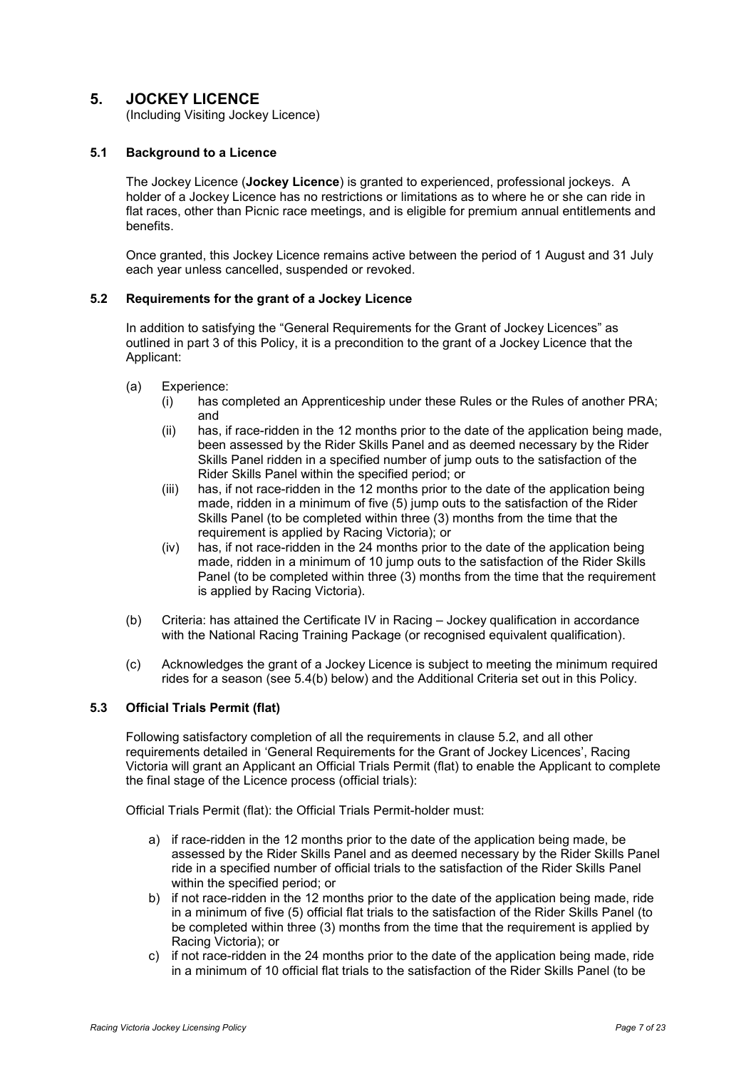# <span id="page-9-0"></span>**5. JOCKEY LICENCE**

(Including Visiting Jockey Licence)

## <span id="page-9-1"></span>**5.1 Background to a Licence**

The Jockey Licence (**Jockey Licence**) is granted to experienced, professional jockeys. A holder of a Jockey Licence has no restrictions or limitations as to where he or she can ride in flat races, other than Picnic race meetings, and is eligible for premium annual entitlements and benefits.

Once granted, this Jockey Licence remains active between the period of 1 August and 31 July each year unless cancelled, suspended or revoked.

#### <span id="page-9-2"></span>**5.2 Requirements for the grant of a Jockey Licence**

In addition to satisfying the "General Requirements for the Grant of Jockey Licences" as outlined in part 3 of this Policy, it is a precondition to the grant of a Jockey Licence that the Applicant:

- (a) Experience:
	- (i) has completed an Apprenticeship under these Rules or the Rules of another PRA; and
	- (ii) has, if race-ridden in the 12 months prior to the date of the application being made, been assessed by the Rider Skills Panel and as deemed necessary by the Rider Skills Panel ridden in a specified number of jump outs to the satisfaction of the Rider Skills Panel within the specified period; or
	- (iii) has, if not race-ridden in the 12 months prior to the date of the application being made, ridden in a minimum of five (5) jump outs to the satisfaction of the Rider Skills Panel (to be completed within three (3) months from the time that the requirement is applied by Racing Victoria); or
	- (iv) has, if not race-ridden in the 24 months prior to the date of the application being made, ridden in a minimum of 10 jump outs to the satisfaction of the Rider Skills Panel (to be completed within three (3) months from the time that the requirement is applied by Racing Victoria).
- (b) Criteria: has attained the Certificate IV in Racing Jockey qualification in accordance with the National Racing Training Package (or recognised equivalent qualification).
- (c) Acknowledges the grant of a Jockey Licence is subject to meeting the minimum required rides for a season (see 5.4(b) below) and the Additional Criteria set out in this Policy.

## <span id="page-9-3"></span>**5.3 Official Trials Permit (flat)**

Following satisfactory completion of all the requirements in clause 5.2, and all other requirements detailed in 'General Requirements for the Grant of Jockey Licences', Racing Victoria will grant an Applicant an Official Trials Permit (flat) to enable the Applicant to complete the final stage of the Licence process (official trials):

Official Trials Permit (flat): the Official Trials Permit-holder must:

- a) if race-ridden in the 12 months prior to the date of the application being made, be assessed by the Rider Skills Panel and as deemed necessary by the Rider Skills Panel ride in a specified number of official trials to the satisfaction of the Rider Skills Panel within the specified period; or
- b) if not race-ridden in the 12 months prior to the date of the application being made, ride in a minimum of five (5) official flat trials to the satisfaction of the Rider Skills Panel (to be completed within three (3) months from the time that the requirement is applied by Racing Victoria); or
- c) if not race-ridden in the 24 months prior to the date of the application being made, ride in a minimum of 10 official flat trials to the satisfaction of the Rider Skills Panel (to be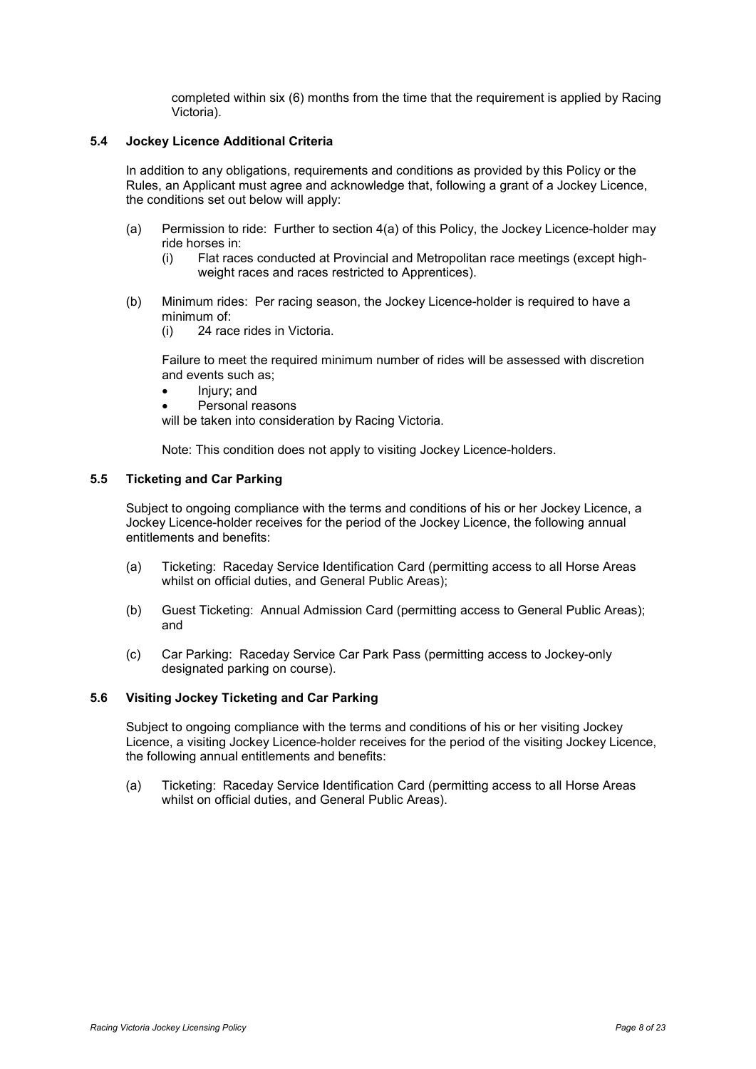completed within six (6) months from the time that the requirement is applied by Racing Victoria).

#### <span id="page-10-0"></span>**5.4 Jockey Licence Additional Criteria**

In addition to any obligations, requirements and conditions as provided by this Policy or the Rules, an Applicant must agree and acknowledge that, following a grant of a Jockey Licence, the conditions set out below will apply:

- (a) Permission to ride: Further to section 4(a) of this Policy, the Jockey Licence-holder may ride horses in:
	- (i) Flat races conducted at Provincial and Metropolitan race meetings (except highweight races and races restricted to Apprentices).
- (b) Minimum rides: Per racing season, the Jockey Licence-holder is required to have a minimum of:
	- (i) 24 race rides in Victoria.

Failure to meet the required minimum number of rides will be assessed with discretion and events such as;

- Injury; and
- Personal reasons

will be taken into consideration by Racing Victoria.

Note: This condition does not apply to visiting Jockey Licence-holders.

#### <span id="page-10-1"></span>**5.5 Ticketing and Car Parking**

Subject to ongoing compliance with the terms and conditions of his or her Jockey Licence, a Jockey Licence-holder receives for the period of the Jockey Licence, the following annual entitlements and benefits:

- (a) Ticketing: Raceday Service Identification Card (permitting access to all Horse Areas whilst on official duties, and General Public Areas);
- (b) Guest Ticketing: Annual Admission Card (permitting access to General Public Areas); and
- (c) Car Parking: Raceday Service Car Park Pass (permitting access to Jockey-only designated parking on course).

#### <span id="page-10-2"></span>**5.6 Visiting Jockey Ticketing and Car Parking**

Subject to ongoing compliance with the terms and conditions of his or her visiting Jockey Licence, a visiting Jockey Licence-holder receives for the period of the visiting Jockey Licence, the following annual entitlements and benefits: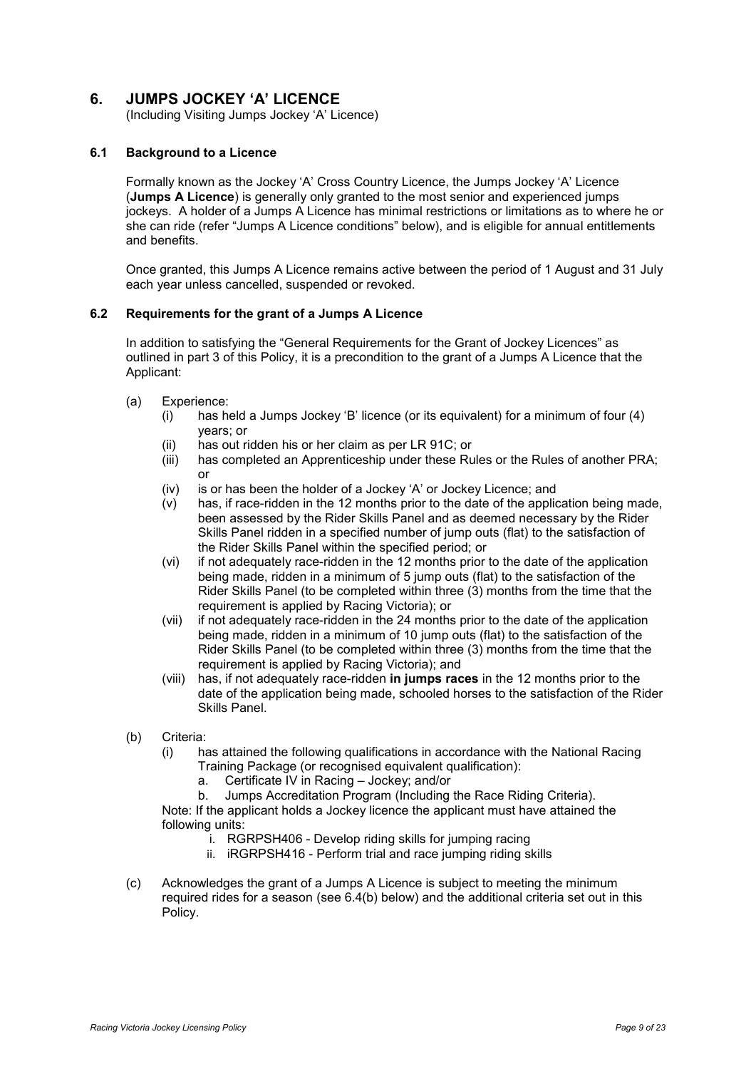# <span id="page-11-0"></span>**6. JUMPS JOCKEY 'A' LICENCE**

(Including Visiting Jumps Jockey 'A' Licence)

## <span id="page-11-1"></span>**6.1 Background to a Licence**

Formally known as the Jockey 'A' Cross Country Licence, the Jumps Jockey 'A' Licence (**Jumps A Licence**) is generally only granted to the most senior and experienced jumps jockeys. A holder of a Jumps A Licence has minimal restrictions or limitations as to where he or she can ride (refer "Jumps A Licence conditions" below), and is eligible for annual entitlements and benefits.

Once granted, this Jumps A Licence remains active between the period of 1 August and 31 July each year unless cancelled, suspended or revoked.

#### <span id="page-11-2"></span>**6.2 Requirements for the grant of a Jumps A Licence**

In addition to satisfying the "General Requirements for the Grant of Jockey Licences" as outlined in part 3 of this Policy, it is a precondition to the grant of a Jumps A Licence that the Applicant:

- (a) Experience:
	- (i) has held a Jumps Jockey 'B' licence (or its equivalent) for a minimum of four (4) years; or
	- (ii) has out ridden his or her claim as per LR 91C; or
	- (iii) has completed an Apprenticeship under these Rules or the Rules of another PRA; or
	- (iv) is or has been the holder of a Jockey 'A' or Jockey Licence; and
	- (v) has, if race-ridden in the 12 months prior to the date of the application being made, been assessed by the Rider Skills Panel and as deemed necessary by the Rider Skills Panel ridden in a specified number of jump outs (flat) to the satisfaction of the Rider Skills Panel within the specified period; or
	- (vi) if not adequately race-ridden in the 12 months prior to the date of the application being made, ridden in a minimum of 5 jump outs (flat) to the satisfaction of the Rider Skills Panel (to be completed within three (3) months from the time that the requirement is applied by Racing Victoria); or
	- (vii) if not adequately race-ridden in the 24 months prior to the date of the application being made, ridden in a minimum of 10 jump outs (flat) to the satisfaction of the Rider Skills Panel (to be completed within three (3) months from the time that the requirement is applied by Racing Victoria); and
	- (viii) has, if not adequately race-ridden **in jumps races** in the 12 months prior to the date of the application being made, schooled horses to the satisfaction of the Rider Skills Panel.
- (b) Criteria:
	- (i) has attained the following qualifications in accordance with the National Racing Training Package (or recognised equivalent qualification):
		- a. Certificate IV in Racing Jockey; and/or
		- b. Jumps Accreditation Program (Including the Race Riding Criteria).

Note: If the applicant holds a Jockey licence the applicant must have attained the following units:

- i. RGRPSH406 Develop riding skills for jumping racing
- ii. iRGRPSH416 Perform trial and race jumping riding skills
- <span id="page-11-4"></span><span id="page-11-3"></span>(c) Acknowledges the grant of a Jumps A Licence is subject to meeting the minimum required rides for a season (see 6.4(b) below) and the additional criteria set out in this Policy.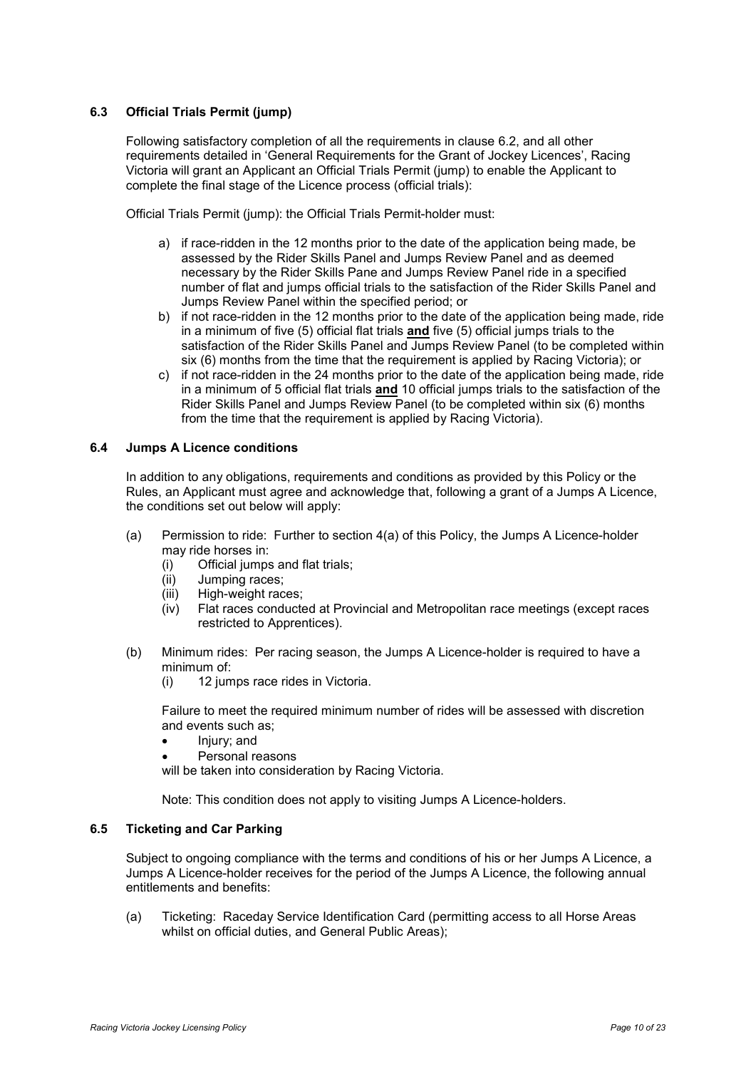# <span id="page-12-0"></span>**6.3 Official Trials Permit (jump)**

Following satisfactory completion of all the requirements in clause 6.2, and all other requirements detailed in 'General Requirements for the Grant of Jockey Licences', Racing Victoria will grant an Applicant an Official Trials Permit (jump) to enable the Applicant to complete the final stage of the Licence process (official trials):

Official Trials Permit (jump): the Official Trials Permit-holder must:

- a) if race-ridden in the 12 months prior to the date of the application being made, be assessed by the Rider Skills Panel and Jumps Review Panel and as deemed necessary by the Rider Skills Pane and Jumps Review Panel ride in a specified number of flat and jumps official trials to the satisfaction of the Rider Skills Panel and Jumps Review Panel within the specified period; or
- b) if not race-ridden in the 12 months prior to the date of the application being made, ride in a minimum of five (5) official flat trials **and** five (5) official jumps trials to the satisfaction of the Rider Skills Panel and Jumps Review Panel (to be completed within six (6) months from the time that the requirement is applied by Racing Victoria); or
- c) if not race-ridden in the 24 months prior to the date of the application being made, ride in a minimum of 5 official flat trials **and** 10 official jumps trials to the satisfaction of the Rider Skills Panel and Jumps Review Panel (to be completed within six (6) months from the time that the requirement is applied by Racing Victoria).

#### <span id="page-12-1"></span>**6.4 Jumps A Licence conditions**

In addition to any obligations, requirements and conditions as provided by this Policy or the Rules, an Applicant must agree and acknowledge that, following a grant of a Jumps A Licence, the conditions set out below will apply:

- (a) Permission to ride: Further to section 4(a) of this Policy, the Jumps A Licence-holder may ride horses in:
	- (i) Official jumps and flat trials;<br>(ii) Jumping races:
	- Jumping races:
	- (iii) High-weight races:
	- (iv) Flat races conducted at Provincial and Metropolitan race meetings (except races restricted to Apprentices).
- (b) Minimum rides: Per racing season, the Jumps A Licence-holder is required to have a minimum of:
	- (i) 12 jumps race rides in Victoria.

Failure to meet the required minimum number of rides will be assessed with discretion and events such as;

- Injury; and
- Personal reasons

will be taken into consideration by Racing Victoria.

Note: This condition does not apply to visiting Jumps A Licence-holders.

#### <span id="page-12-2"></span>**6.5 Ticketing and Car Parking**

Subject to ongoing compliance with the terms and conditions of his or her Jumps A Licence, a Jumps A Licence-holder receives for the period of the Jumps A Licence, the following annual entitlements and benefits: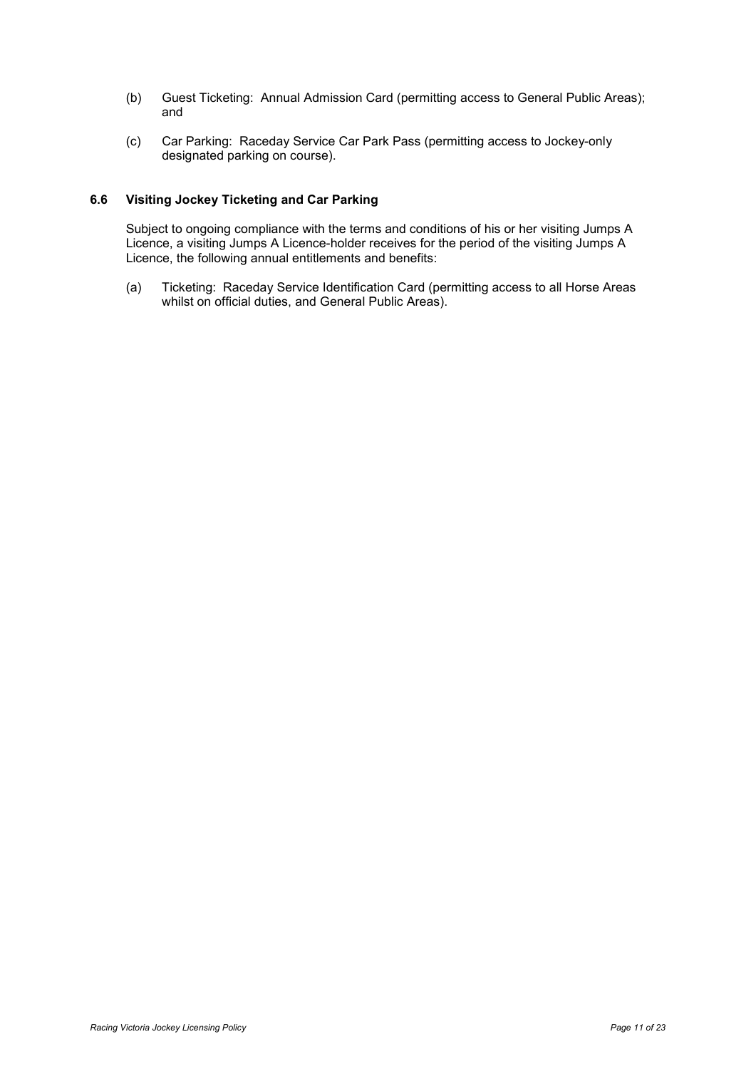- (b) Guest Ticketing: Annual Admission Card (permitting access to General Public Areas); and
- (c) Car Parking: Raceday Service Car Park Pass (permitting access to Jockey-only designated parking on course).

## <span id="page-13-0"></span>**6.6 Visiting Jockey Ticketing and Car Parking**

Subject to ongoing compliance with the terms and conditions of his or her visiting Jumps A Licence, a visiting Jumps A Licence-holder receives for the period of the visiting Jumps A Licence, the following annual entitlements and benefits: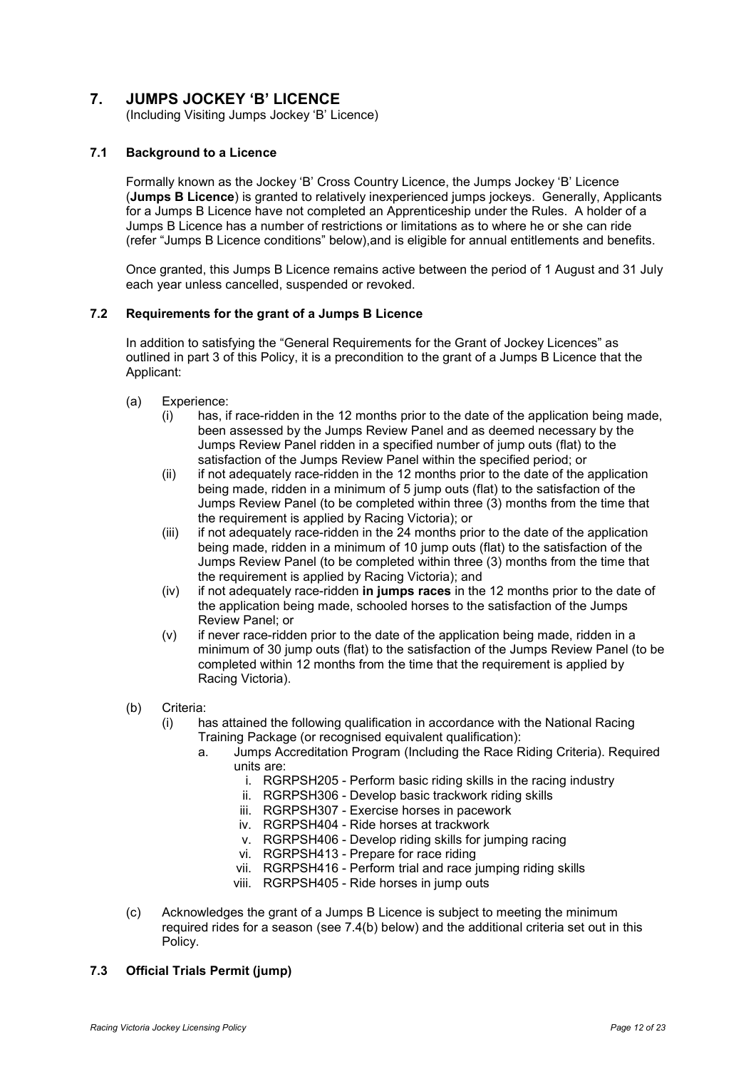# <span id="page-14-0"></span>**7. JUMPS JOCKEY 'B' LICENCE**

(Including Visiting Jumps Jockey 'B' Licence)

# <span id="page-14-1"></span>**7.1 Background to a Licence**

Formally known as the Jockey 'B' Cross Country Licence, the Jumps Jockey 'B' Licence (**Jumps B Licence**) is granted to relatively inexperienced jumps jockeys. Generally, Applicants for a Jumps B Licence have not completed an Apprenticeship under the Rules. A holder of a Jumps B Licence has a number of restrictions or limitations as to where he or she can ride (refer "Jumps B Licence conditions" below),and is eligible for annual entitlements and benefits.

Once granted, this Jumps B Licence remains active between the period of 1 August and 31 July each year unless cancelled, suspended or revoked.

#### <span id="page-14-2"></span>**7.2 Requirements for the grant of a Jumps B Licence**

In addition to satisfying the "General Requirements for the Grant of Jockey Licences" as outlined in part 3 of this Policy, it is a precondition to the grant of a Jumps B Licence that the Applicant:

- (a) Experience:
	- (i) has, if race-ridden in the 12 months prior to the date of the application being made, been assessed by the Jumps Review Panel and as deemed necessary by the Jumps Review Panel ridden in a specified number of jump outs (flat) to the satisfaction of the Jumps Review Panel within the specified period; or
	- (ii) if not adequately race-ridden in the 12 months prior to the date of the application being made, ridden in a minimum of 5 jump outs (flat) to the satisfaction of the Jumps Review Panel (to be completed within three (3) months from the time that the requirement is applied by Racing Victoria); or
	- (iii) if not adequately race-ridden in the 24 months prior to the date of the application being made, ridden in a minimum of 10 jump outs (flat) to the satisfaction of the Jumps Review Panel (to be completed within three (3) months from the time that the requirement is applied by Racing Victoria); and
	- (iv) if not adequately race-ridden **in jumps races** in the 12 months prior to the date of the application being made, schooled horses to the satisfaction of the Jumps Review Panel; or
	- (v) if never race-ridden prior to the date of the application being made, ridden in a minimum of 30 jump outs (flat) to the satisfaction of the Jumps Review Panel (to be completed within 12 months from the time that the requirement is applied by Racing Victoria).
- (b) Criteria:
	- (i) has attained the following qualification in accordance with the National Racing Training Package (or recognised equivalent qualification):
		- a. Jumps Accreditation Program (Including the Race Riding Criteria). Required units are:
			- i. RGRPSH205 Perform basic riding skills in the racing industry
			- ii. RGRPSH306 Develop basic trackwork riding skills
			- iii. RGRPSH307 Exercise horses in pacework
			- iv. RGRPSH404 Ride horses at trackwork
			- v. RGRPSH406 Develop riding skills for jumping racing
			- vi. RGRPSH413 Prepare for race riding
			- vii. RGRPSH416 Perform trial and race jumping riding skills
			- viii. RGRPSH405 Ride horses in jump outs
- (c) Acknowledges the grant of a Jumps B Licence is subject to meeting the minimum required rides for a season (see 7.4(b) below) and the additional criteria set out in this Policy.

# <span id="page-14-3"></span>**7.3 Official Trials Permit (jump)**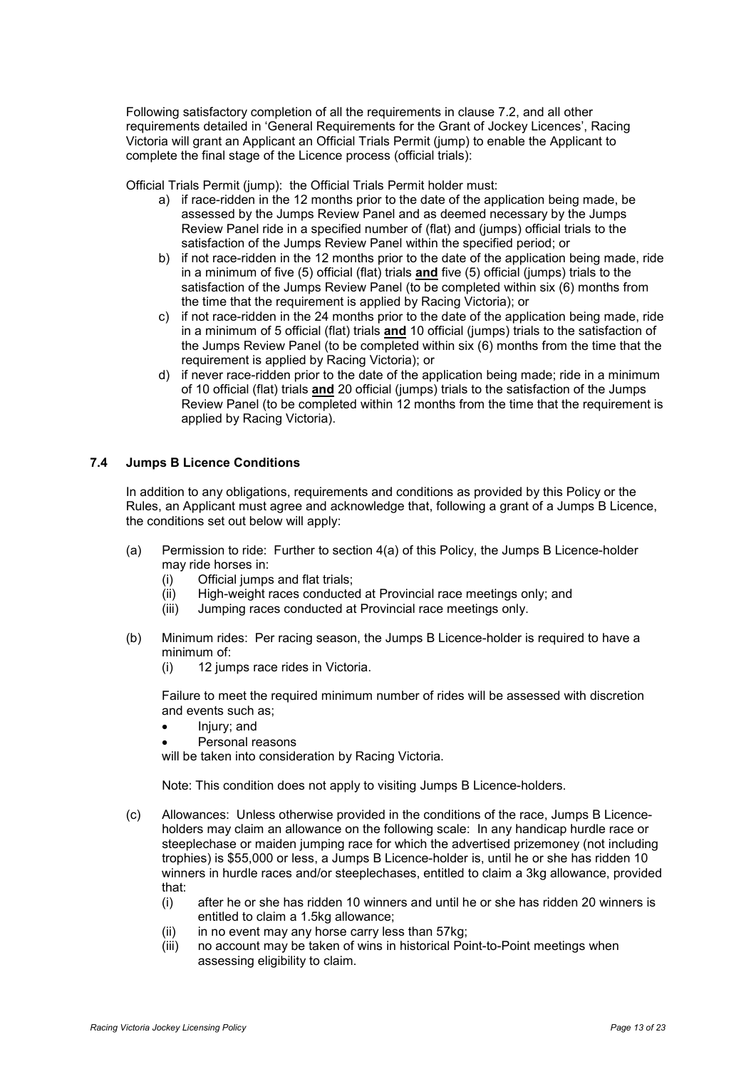Following satisfactory completion of all the requirements in clause 7.2, and all other requirements detailed in 'General Requirements for the Grant of Jockey Licences', Racing Victoria will grant an Applicant an Official Trials Permit (jump) to enable the Applicant to complete the final stage of the Licence process (official trials):

Official Trials Permit (jump): the Official Trials Permit holder must:

- a) if race-ridden in the 12 months prior to the date of the application being made, be assessed by the Jumps Review Panel and as deemed necessary by the Jumps Review Panel ride in a specified number of (flat) and (jumps) official trials to the satisfaction of the Jumps Review Panel within the specified period; or
- b) if not race-ridden in the 12 months prior to the date of the application being made, ride in a minimum of five (5) official (flat) trials **and** five (5) official (jumps) trials to the satisfaction of the Jumps Review Panel (to be completed within six  $(6)$  months from the time that the requirement is applied by Racing Victoria); or
- c) if not race-ridden in the 24 months prior to the date of the application being made, ride in a minimum of 5 official (flat) trials **and** 10 official (jumps) trials to the satisfaction of the Jumps Review Panel (to be completed within six (6) months from the time that the requirement is applied by Racing Victoria); or
- d) if never race-ridden prior to the date of the application being made; ride in a minimum of 10 official (flat) trials **and** 20 official (jumps) trials to the satisfaction of the Jumps Review Panel (to be completed within 12 months from the time that the requirement is applied by Racing Victoria).

#### <span id="page-15-0"></span>**7.4 Jumps B Licence Conditions**

In addition to any obligations, requirements and conditions as provided by this Policy or the Rules, an Applicant must agree and acknowledge that, following a grant of a Jumps B Licence, the conditions set out below will apply:

- (a) Permission to ride: Further to section 4(a) of this Policy, the Jumps B Licence-holder may ride horses in:
	- (i) Official jumps and flat trials;
	- (ii) High-weight races conducted at Provincial race meetings only; and
	- (iii) Jumping races conducted at Provincial race meetings only.
- (b) Minimum rides:Per racing season, the Jumps B Licence-holder is required to have a minimum of:
	- (i) 12 jumps race rides in Victoria.

Failure to meet the required minimum number of rides will be assessed with discretion and events such as;

- Injury; and
- Personal reasons

will be taken into consideration by Racing Victoria.

Note: This condition does not apply to visiting Jumps B Licence-holders.

- (c) Allowances: Unless otherwise provided in the conditions of the race, Jumps B Licenceholders may claim an allowance on the following scale: In any handicap hurdle race or steeplechase or maiden jumping race for which the advertised prizemoney (not including trophies) is \$55,000 or less, a Jumps B Licence-holder is, until he or she has ridden 10 winners in hurdle races and/or steeplechases, entitled to claim a 3kg allowance, provided that:
	- (i) after he or she has ridden 10 winners and until he or she has ridden 20 winners is entitled to claim a 1.5kg allowance;
	- (ii) in no event may any horse carry less than 57kg;
	- (iii) no account may be taken of wins in historical Point-to-Point meetings when assessing eligibility to claim.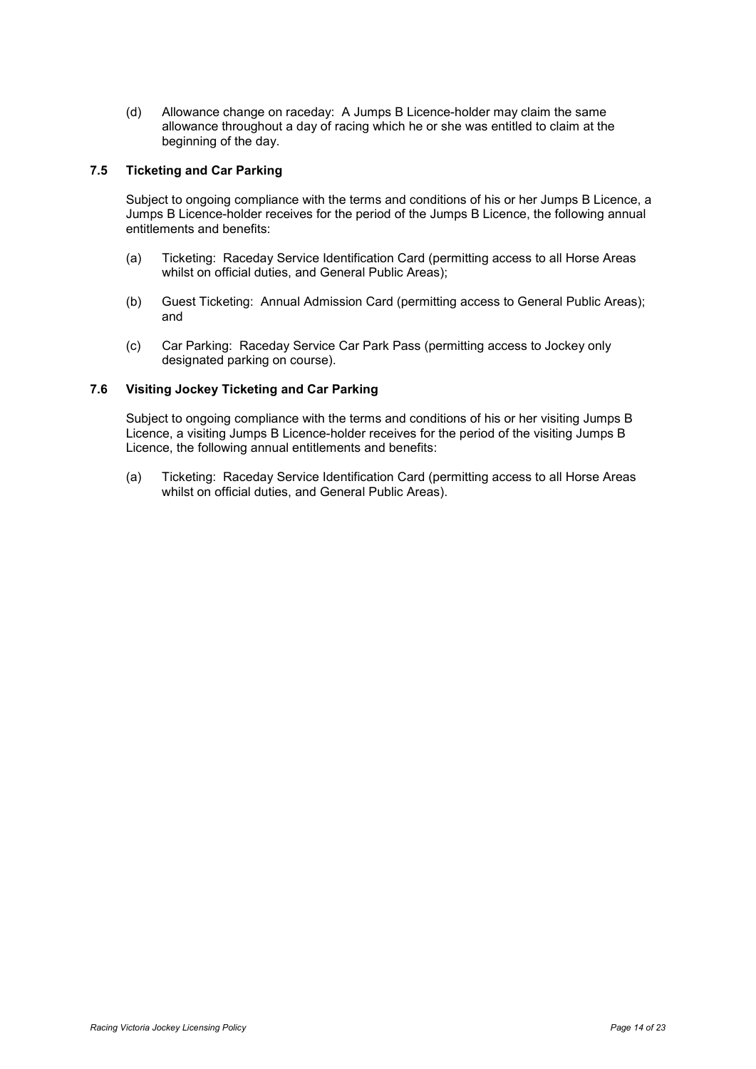(d) Allowance change on raceday: A Jumps B Licence-holder may claim the same allowance throughout a day of racing which he or she was entitled to claim at the beginning of the day.

#### <span id="page-16-0"></span>**7.5 Ticketing and Car Parking**

Subject to ongoing compliance with the terms and conditions of his or her Jumps B Licence, a Jumps B Licence-holder receives for the period of the Jumps B Licence, the following annual entitlements and benefits:

- (a) Ticketing: Raceday Service Identification Card (permitting access to all Horse Areas whilst on official duties, and General Public Areas);
- (b) Guest Ticketing: Annual Admission Card (permitting access to General Public Areas); and
- (c) Car Parking: Raceday Service Car Park Pass (permitting access to Jockey only designated parking on course).

# <span id="page-16-1"></span>**7.6 Visiting Jockey Ticketing and Car Parking**

Subject to ongoing compliance with the terms and conditions of his or her visiting Jumps B Licence, a visiting Jumps B Licence-holder receives for the period of the visiting Jumps B Licence, the following annual entitlements and benefits: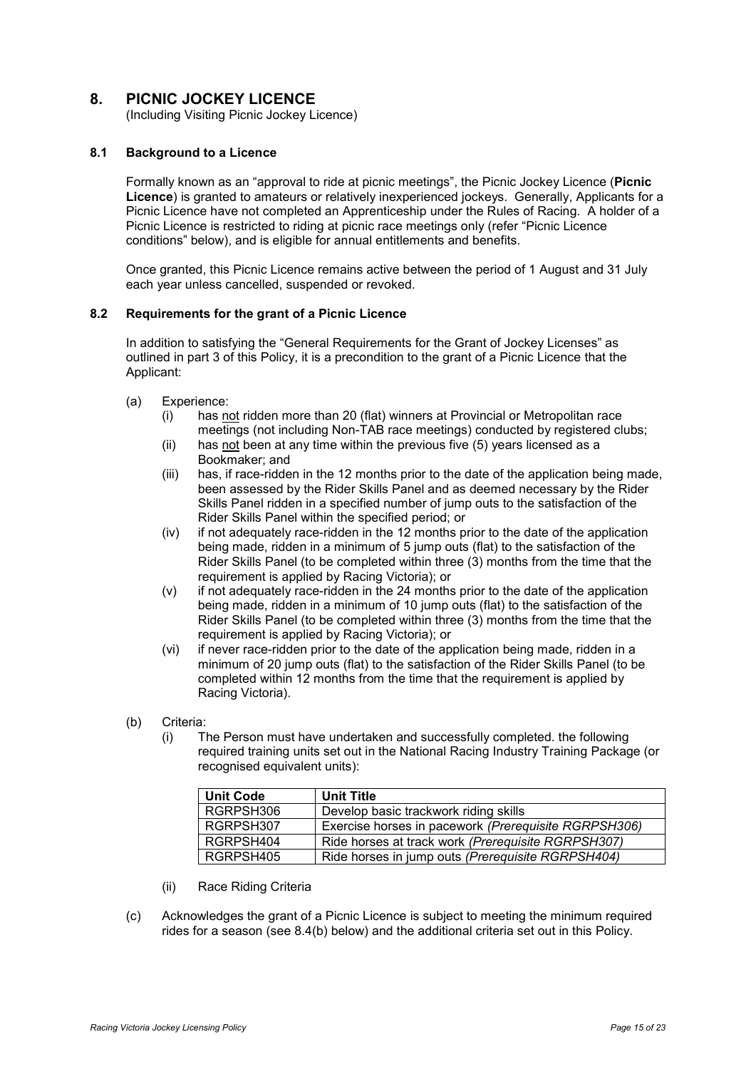# <span id="page-17-0"></span>**8. PICNIC JOCKEY LICENCE**

(Including Visiting Picnic Jockey Licence)

#### <span id="page-17-1"></span>**8.1 Background to a Licence**

Formally known as an "approval to ride at picnic meetings", the Picnic Jockey Licence (**Picnic Licence**) is granted to amateurs or relatively inexperienced jockeys. Generally, Applicants for a Picnic Licence have not completed an Apprenticeship under the Rules of Racing. A holder of a Picnic Licence is restricted to riding at picnic race meetings only (refer "Picnic Licence conditions" below), and is eligible for annual entitlements and benefits.

Once granted, this Picnic Licence remains active between the period of 1 August and 31 July each year unless cancelled, suspended or revoked.

#### <span id="page-17-2"></span>**8.2 Requirements for the grant of a Picnic Licence**

In addition to satisfying the "General Requirements for the Grant of Jockey Licenses" as outlined in part 3 of this Policy, it is a precondition to the grant of a Picnic Licence that the Applicant:

- (a) Experience:
	- (i) has not ridden more than 20 (flat) winners at Provincial or Metropolitan race meetings (not including Non-TAB race meetings) conducted by registered clubs;
	- (ii) has not been at any time within the previous five (5) years licensed as a Bookmaker; and
	- (iii) has, if race-ridden in the 12 months prior to the date of the application being made, been assessed by the Rider Skills Panel and as deemed necessary by the Rider Skills Panel ridden in a specified number of jump outs to the satisfaction of the Rider Skills Panel within the specified period; or
	- (iv) if not adequately race-ridden in the 12 months prior to the date of the application being made, ridden in a minimum of 5 jump outs (flat) to the satisfaction of the Rider Skills Panel (to be completed within three (3) months from the time that the requirement is applied by Racing Victoria); or
	- (v) if not adequately race-ridden in the 24 months prior to the date of the application being made, ridden in a minimum of 10 jump outs (flat) to the satisfaction of the Rider Skills Panel (to be completed within three (3) months from the time that the requirement is applied by Racing Victoria); or
	- (vi) if never race-ridden prior to the date of the application being made, ridden in a minimum of 20 jump outs (flat) to the satisfaction of the Rider Skills Panel (to be completed within 12 months from the time that the requirement is applied by Racing Victoria).
- (b) Criteria:
	- (i) The Person must have undertaken and successfully completed. the following required training units set out in the National Racing Industry Training Package (or recognised equivalent units):

| <b>Unit Code</b> | <b>Unit Title</b>                                    |
|------------------|------------------------------------------------------|
| RGRPSH306        | Develop basic trackwork riding skills                |
| RGRPSH307        | Exercise horses in pacework (Prerequisite RGRPSH306) |
| RGRPSH404        | Ride horses at track work (Prerequisite RGRPSH307)   |
| RGRPSH405        | Ride horses in jump outs (Prerequisite RGRPSH404)    |

- (ii) Race Riding Criteria
- (c) Acknowledges the grant of a Picnic Licence is subject to meeting the minimum required rides for a season (see 8.4(b) below) and the additional criteria set out in this Policy.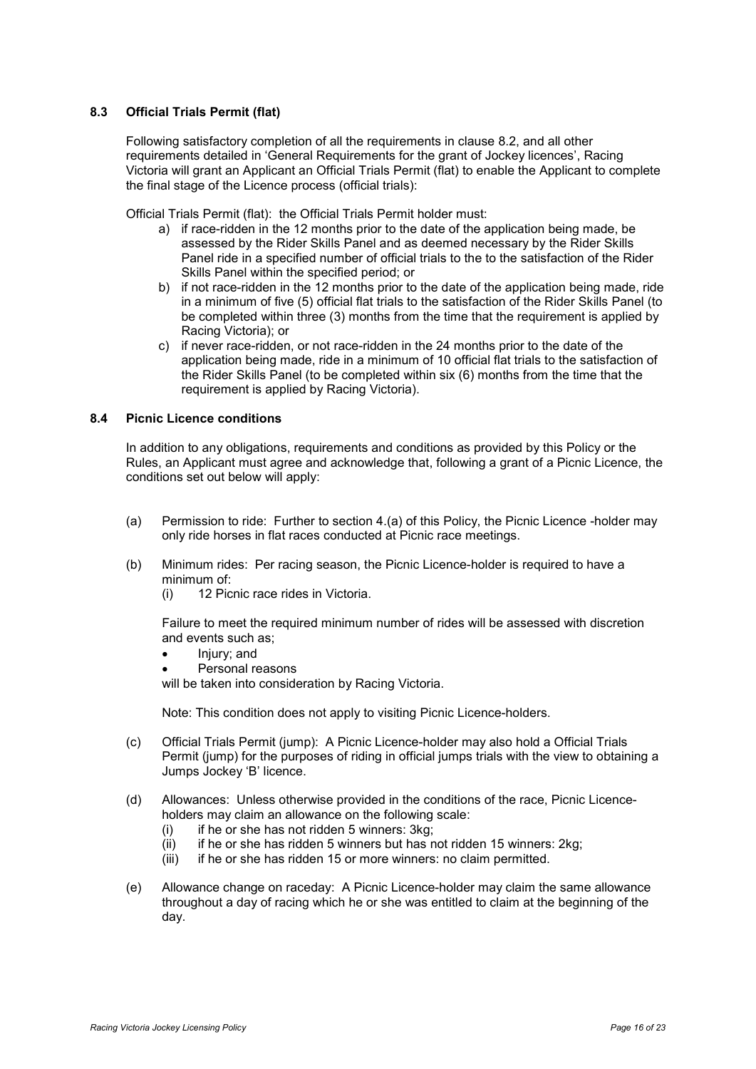# <span id="page-18-0"></span>**8.3 Official Trials Permit (flat)**

Following satisfactory completion of all the requirements in clause 8.2, and all other requirements detailed in 'General Requirements for the grant of Jockey licences', Racing Victoria will grant an Applicant an Official Trials Permit (flat) to enable the Applicant to complete the final stage of the Licence process (official trials):

Official Trials Permit (flat): the Official Trials Permit holder must:

- a) if race-ridden in the 12 months prior to the date of the application being made, be assessed by the Rider Skills Panel and as deemed necessary by the Rider Skills Panel ride in a specified number of official trials to the to the satisfaction of the Rider Skills Panel within the specified period; or
- b) if not race-ridden in the 12 months prior to the date of the application being made, ride in a minimum of five (5) official flat trials to the satisfaction of the Rider Skills Panel (to be completed within three (3) months from the time that the requirement is applied by Racing Victoria); or
- c) if never race-ridden, or not race-ridden in the 24 months prior to the date of the application being made, ride in a minimum of 10 official flat trials to the satisfaction of the Rider Skills Panel (to be completed within six (6) months from the time that the requirement is applied by Racing Victoria).

#### <span id="page-18-1"></span>**8.4 Picnic Licence conditions**

In addition to any obligations, requirements and conditions as provided by this Policy or the Rules, an Applicant must agree and acknowledge that, following a grant of a Picnic Licence, the conditions set out below will apply:

- (a) Permission to ride: Further to section 4.(a) of this Policy, the Picnic Licence -holder may only ride horses in flat races conducted at Picnic race meetings.
- (b) Minimum rides: Per racing season, the Picnic Licence-holder is required to have a minimum of:
	- (i) 12 Picnic race rides in Victoria.

Failure to meet the required minimum number of rides will be assessed with discretion and events such as;

- Injury; and
- Personal reasons

will be taken into consideration by Racing Victoria.

Note: This condition does not apply to visiting Picnic Licence-holders.

- (c) Official Trials Permit (jump): A Picnic Licence-holder may also hold a Official Trials Permit (jump) for the purposes of riding in official jumps trials with the view to obtaining a Jumps Jockey 'B' licence.
- (d) Allowances: Unless otherwise provided in the conditions of the race, Picnic Licenceholders may claim an allowance on the following scale:
	- $(i)$  if he or she has not ridden 5 winners: 3kg;
	- $(iii)$  if he or she has ridden 5 winners but has not ridden 15 winners: 2kg;
	- (iii) if he or she has ridden 15 or more winners: no claim permitted.
- (e) Allowance change on raceday: A Picnic Licence-holder may claim the same allowance throughout a day of racing which he or she was entitled to claim at the beginning of the day.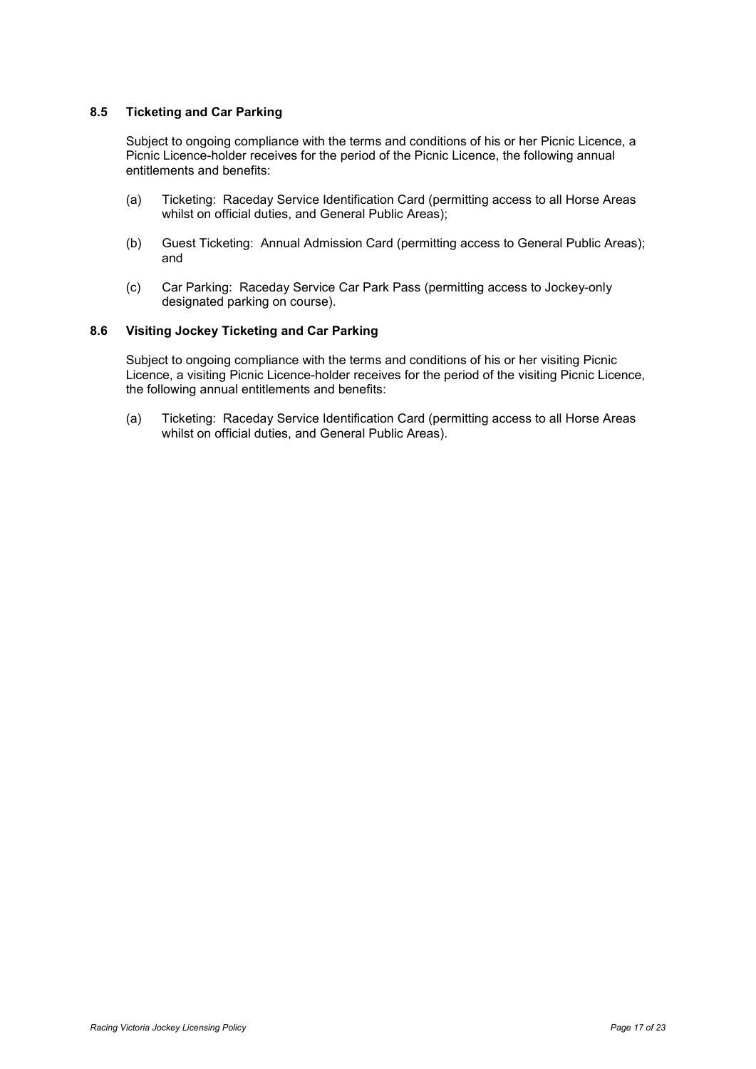## <span id="page-19-0"></span>**8.5 Ticketing and Car Parking**

Subject to ongoing compliance with the terms and conditions of his or her Picnic Licence, a Picnic Licence-holder receives for the period of the Picnic Licence, the following annual entitlements and benefits:

- (a) Ticketing: Raceday Service Identification Card (permitting access to all Horse Areas whilst on official duties, and General Public Areas);
- (b) Guest Ticketing: Annual Admission Card (permitting access to General Public Areas); and
- (c) Car Parking: Raceday Service Car Park Pass (permitting access to Jockey-only designated parking on course).

## <span id="page-19-1"></span>**8.6 Visiting Jockey Ticketing and Car Parking**

Subject to ongoing compliance with the terms and conditions of his or her visiting Picnic Licence, a visiting Picnic Licence-holder receives for the period of the visiting Picnic Licence, the following annual entitlements and benefits: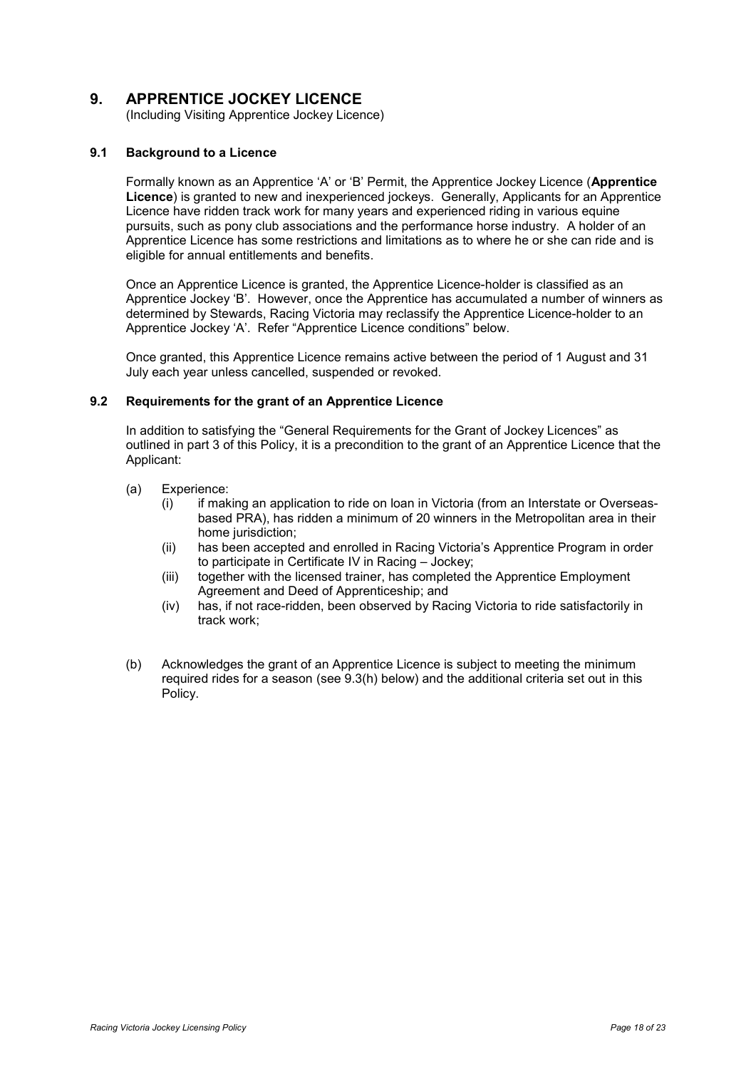# <span id="page-20-0"></span>**9. APPRENTICE JOCKEY LICENCE**

(Including Visiting Apprentice Jockey Licence)

#### <span id="page-20-1"></span>**9.1 Background to a Licence**

Formally known as an Apprentice 'A' or 'B' Permit, the Apprentice Jockey Licence (**Apprentice Licence**) is granted to new and inexperienced jockeys. Generally, Applicants for an Apprentice Licence have ridden track work for many years and experienced riding in various equine pursuits, such as pony club associations and the performance horse industry. A holder of an Apprentice Licence has some restrictions and limitations as to where he or she can ride and is eligible for annual entitlements and benefits.

Once an Apprentice Licence is granted, the Apprentice Licence-holder is classified as an Apprentice Jockey 'B'. However, once the Apprentice has accumulated a number of winners as determined by Stewards, Racing Victoria may reclassify the Apprentice Licence-holder to an Apprentice Jockey 'A'. Refer "Apprentice Licence conditions" below.

Once granted, this Apprentice Licence remains active between the period of 1 August and 31 July each year unless cancelled, suspended or revoked.

#### <span id="page-20-2"></span>**9.2 Requirements for the grant of an Apprentice Licence**

In addition to satisfying the "General Requirements for the Grant of Jockey Licences" as outlined in part 3 of this Policy, it is a precondition to the grant of an Apprentice Licence that the Applicant:

- (a) Experience:
	- (i) if making an application to ride on loan in Victoria (from an Interstate or Overseasbased PRA), has ridden a minimum of 20 winners in the Metropolitan area in their home jurisdiction;
	- (ii) has been accepted and enrolled in Racing Victoria's Apprentice Program in order to participate in Certificate IV in Racing – Jockey;
	- (iii) together with the licensed trainer, has completed the Apprentice Employment Agreement and Deed of Apprenticeship; and
	- (iv) has, if not race-ridden, been observed by Racing Victoria to ride satisfactorily in track work;
- (b) Acknowledges the grant of an Apprentice Licence is subject to meeting the minimum required rides for a season (see 9.3(h) below) and the additional criteria set out in this Policy.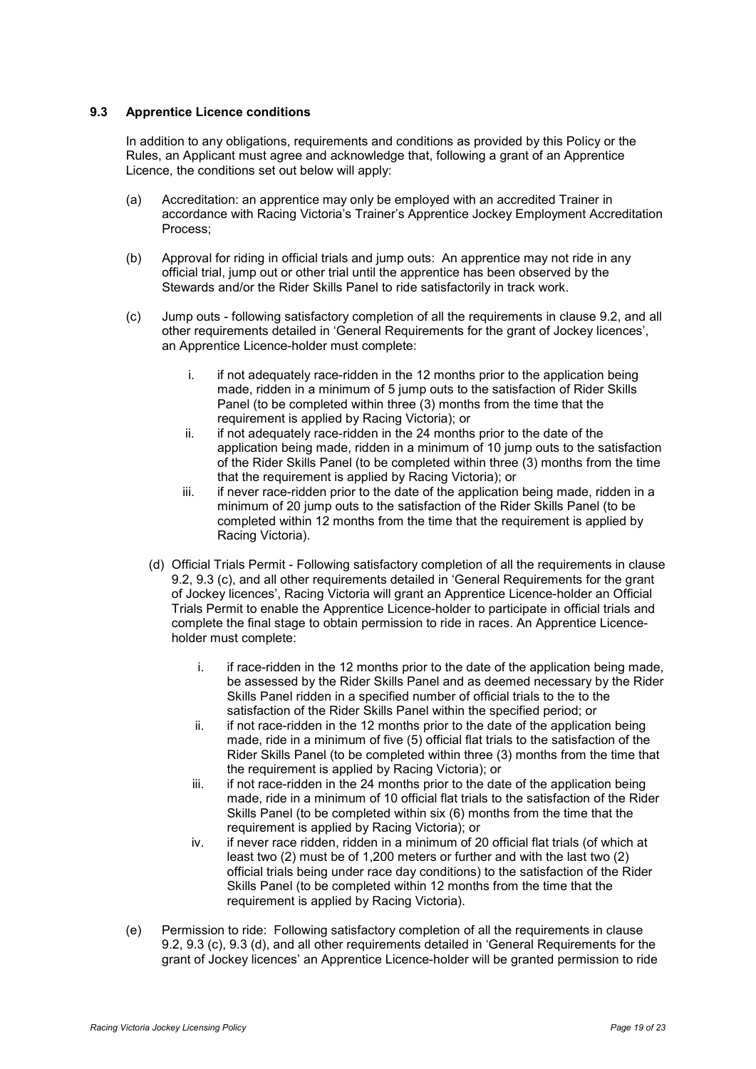#### <span id="page-21-0"></span>**9.3 Apprentice Licence conditions**

In addition to any obligations, requirements and conditions as provided by this Policy or the Rules, an Applicant must agree and acknowledge that, following a grant of an Apprentice Licence, the conditions set out below will apply:

- (a) Accreditation: an apprentice may only be employed with an accredited Trainer in accordance with Racing Victoria's Trainer's Apprentice Jockey Employment Accreditation Process;
- (b) Approval for riding in official trials and jump outs: An apprentice may not ride in any official trial, jump out or other trial until the apprentice has been observed by the Stewards and/or the Rider Skills Panel to ride satisfactorily in track work.
- (c) Jump outs following satisfactory completion of all the requirements in clause 9.2, and all other requirements detailed in 'General Requirements for the grant of Jockey licences', an Apprentice Licence-holder must complete:
	- i. if not adequately race-ridden in the 12 months prior to the application being made, ridden in a minimum of 5 jump outs to the satisfaction of Rider Skills Panel (to be completed within three (3) months from the time that the requirement is applied by Racing Victoria); or
	- ii. if not adequately race-ridden in the 24 months prior to the date of the application being made, ridden in a minimum of 10 jump outs to the satisfaction of the Rider Skills Panel (to be completed within three (3) months from the time that the requirement is applied by Racing Victoria); or
	- iii. if never race-ridden prior to the date of the application being made, ridden in a minimum of 20 jump outs to the satisfaction of the Rider Skills Panel (to be completed within 12 months from the time that the requirement is applied by Racing Victoria).
	- (d) Official Trials Permit Following satisfactory completion of all the requirements in clause 9.2, 9.3 (c), and all other requirements detailed in 'General Requirements for the grant of Jockey licences', Racing Victoria will grant an Apprentice Licence-holder an Official Trials Permit to enable the Apprentice Licence-holder to participate in official trials and complete the final stage to obtain permission to ride in races. An Apprentice Licenceholder must complete:
		- i. if race-ridden in the 12 months prior to the date of the application being made, be assessed by the Rider Skills Panel and as deemed necessary by the Rider Skills Panel ridden in a specified number of official trials to the to the satisfaction of the Rider Skills Panel within the specified period; or
		- ii. if not race-ridden in the 12 months prior to the date of the application being made, ride in a minimum of five (5) official flat trials to the satisfaction of the Rider Skills Panel (to be completed within three (3) months from the time that the requirement is applied by Racing Victoria); or
		- iii. if not race-ridden in the 24 months prior to the date of the application being made, ride in a minimum of 10 official flat trials to the satisfaction of the Rider Skills Panel (to be completed within six (6) months from the time that the requirement is applied by Racing Victoria); or
		- iv. if never race ridden, ridden in a minimum of 20 official flat trials (of which at least two (2) must be of 1,200 meters or further and with the last two (2) official trials being under race day conditions) to the satisfaction of the Rider Skills Panel (to be completed within 12 months from the time that the requirement is applied by Racing Victoria).
- (e) Permission to ride: Following satisfactory completion of all the requirements in clause 9.2, 9.3 (c), 9.3 (d), and all other requirements detailed in 'General Requirements for the grant of Jockey licences' an Apprentice Licence-holder will be granted permission to ride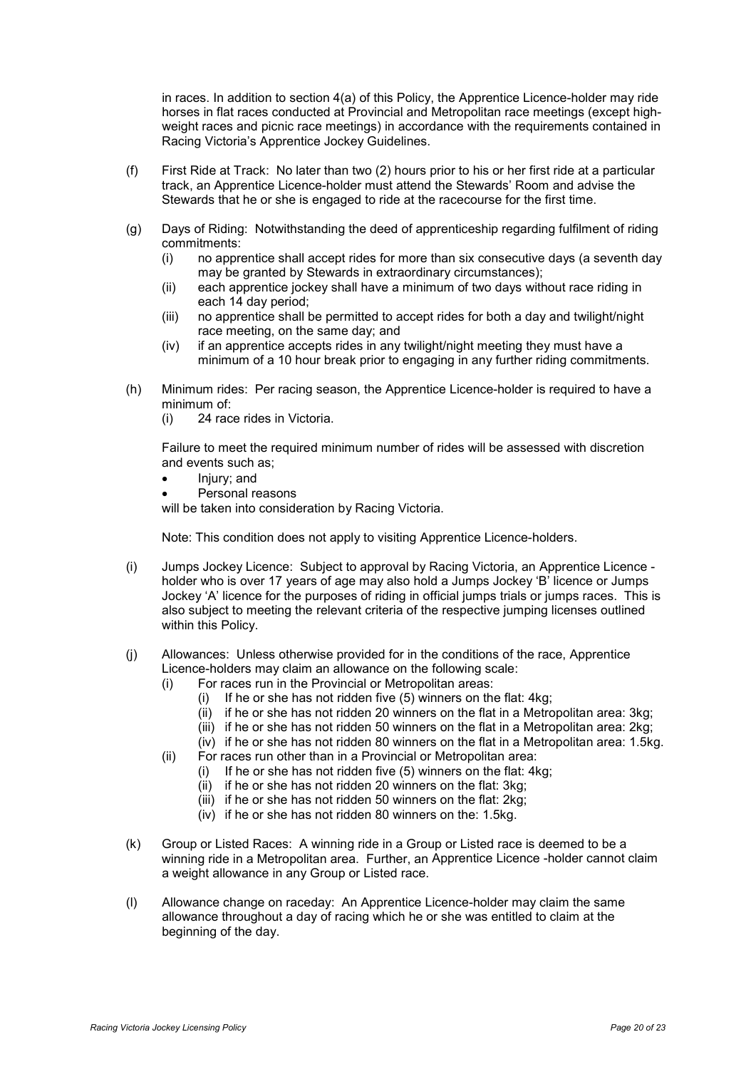in races. In addition to section 4(a) of this Policy, the Apprentice Licence-holder may ride horses in flat races conducted at Provincial and Metropolitan race meetings (except highweight races and picnic race meetings) in accordance with the requirements contained in Racing Victoria's Apprentice Jockey Guidelines.

- (f) First Ride at Track: No later than two (2) hours prior to his or her first ride at a particular track, an Apprentice Licence-holder must attend the Stewards' Room and advise the Stewards that he or she is engaged to ride at the racecourse for the first time.
- (g) Days of Riding: Notwithstanding the deed of apprenticeship regarding fulfilment of riding commitments:
	- (i) no apprentice shall accept rides for more than six consecutive days (a seventh day may be granted by Stewards in extraordinary circumstances);
	- (ii) each apprentice jockey shall have a minimum of two days without race riding in each 14 day period;
	- (iii) no apprentice shall be permitted to accept rides for both a day and twilight/night race meeting, on the same day; and
	- (iv) if an apprentice accepts rides in any twilight/night meeting they must have a minimum of a 10 hour break prior to engaging in any further riding commitments.
- (h) Minimum rides: Per racing season, the Apprentice Licence-holder is required to have a minimum of:
	- (i) 24 race rides in Victoria.

Failure to meet the required minimum number of rides will be assessed with discretion and events such as;

- Injury; and
- Personal reasons

will be taken into consideration by Racing Victoria.

Note: This condition does not apply to visiting Apprentice Licence-holders.

- (i) Jumps Jockey Licence: Subject to approval by Racing Victoria, an Apprentice Licence holder who is over 17 years of age may also hold a Jumps Jockey 'B' licence or Jumps Jockey 'A' licence for the purposes of riding in official jumps trials or jumps races. This is also subject to meeting the relevant criteria of the respective jumping licenses outlined within this Policy.
- (j) Allowances: Unless otherwise provided for in the conditions of the race, Apprentice Licence-holders may claim an allowance on the following scale:
	- (i) For races run in the Provincial or Metropolitan areas:
		- $(i)$  If he or she has not ridden five  $(5)$  winners on the flat: 4kg;
		- $\overrightarrow{iii}$  if he or she has not ridden 20 winners on the flat in a Metropolitan area: 3kg;
		- (iii) if he or she has not ridden 50 winners on the flat in a Metropolitan area: 2kg;
		- (iv) if he or she has not ridden 80 winners on the flat in a Metropolitan area: 1.5kg.
	- (ii) For races run other than in a Provincial or Metropolitan area:
		- (i) If he or she has not ridden five (5) winners on the flat: 4kg;
		- (ii) if he or she has not ridden 20 winners on the flat: 3kg;
		- $(iii)$  if he or she has not ridden 50 winners on the flat: 2kg;
		- (iv) if he or she has not ridden 80 winners on the: 1.5kg.
- (k) Group or Listed Races: A winning ride in a Group or Listed race is deemed to be a winning ride in a Metropolitan area. Further, an Apprentice Licence -holder cannot claim a weight allowance in any Group or Listed race.
- (l) Allowance change on raceday: An Apprentice Licence-holder may claim the same allowance throughout a day of racing which he or she was entitled to claim at the beginning of the day.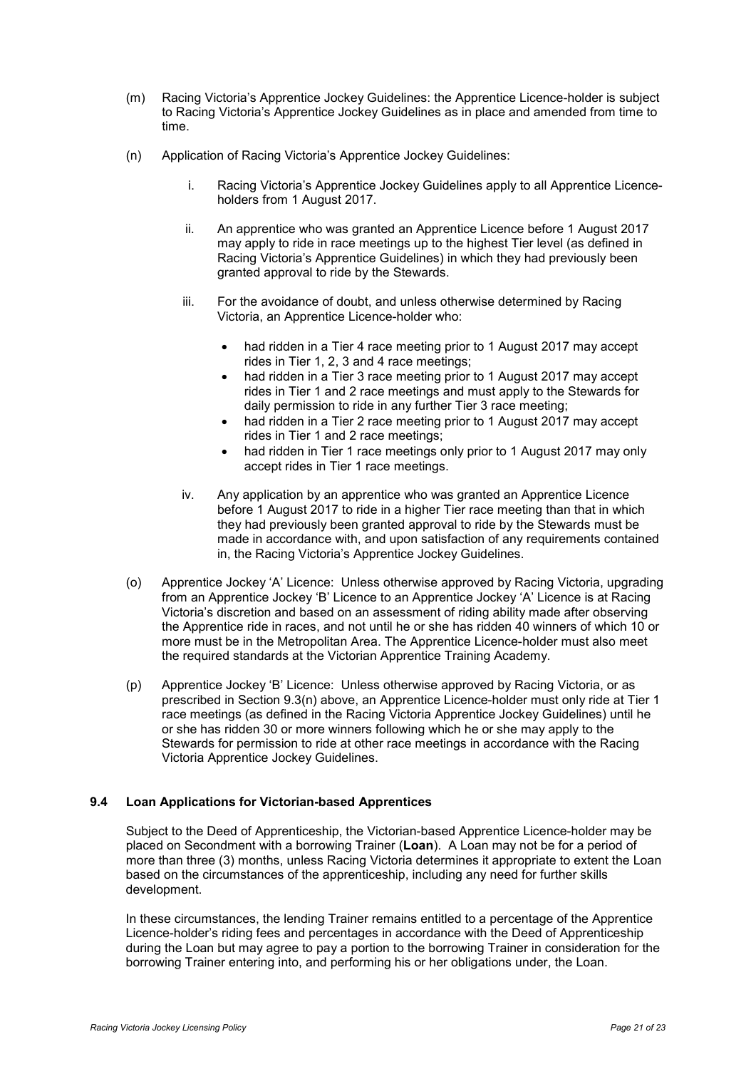- (m) Racing Victoria's Apprentice Jockey Guidelines: the Apprentice Licence-holder is subject to Racing Victoria's Apprentice Jockey Guidelines as in place and amended from time to time.
- (n) Application of Racing Victoria's Apprentice Jockey Guidelines:
	- i. Racing Victoria's Apprentice Jockey Guidelines apply to all Apprentice Licenceholders from 1 August 2017.
	- ii. An apprentice who was granted an Apprentice Licence before 1 August 2017 may apply to ride in race meetings up to the highest Tier level (as defined in Racing Victoria's Apprentice Guidelines) in which they had previously been granted approval to ride by the Stewards.
	- iii. For the avoidance of doubt, and unless otherwise determined by Racing Victoria, an Apprentice Licence-holder who:
		- had ridden in a Tier 4 race meeting prior to 1 August 2017 may accept rides in Tier 1, 2, 3 and 4 race meetings;
		- had ridden in a Tier 3 race meeting prior to 1 August 2017 may accept rides in Tier 1 and 2 race meetings and must apply to the Stewards for daily permission to ride in any further Tier 3 race meeting;
		- had ridden in a Tier 2 race meeting prior to 1 August 2017 may accept rides in Tier 1 and 2 race meetings;
		- had ridden in Tier 1 race meetings only prior to 1 August 2017 may only accept rides in Tier 1 race meetings.
	- iv. Any application by an apprentice who was granted an Apprentice Licence before 1 August 2017 to ride in a higher Tier race meeting than that in which they had previously been granted approval to ride by the Stewards must be made in accordance with, and upon satisfaction of any requirements contained in, the Racing Victoria's Apprentice Jockey Guidelines.
- (o) Apprentice Jockey 'A' Licence: Unless otherwise approved by Racing Victoria, upgrading from an Apprentice Jockey 'B' Licence to an Apprentice Jockey 'A' Licence is at Racing Victoria's discretion and based on an assessment of riding ability made after observing the Apprentice ride in races, and not until he or she has ridden 40 winners of which 10 or more must be in the Metropolitan Area. The Apprentice Licence-holder must also meet the required standards at the Victorian Apprentice Training Academy.
- (p) Apprentice Jockey 'B' Licence: Unless otherwise approved by Racing Victoria, or as prescribed in Section 9.3(n) above, an Apprentice Licence-holder must only ride at Tier 1 race meetings (as defined in the Racing Victoria Apprentice Jockey Guidelines) until he or she has ridden 30 or more winners following which he or she may apply to the Stewards for permission to ride at other race meetings in accordance with the Racing Victoria Apprentice Jockey Guidelines.

# <span id="page-23-0"></span>**9.4 Loan Applications for Victorian-based Apprentices**

Subject to the Deed of Apprenticeship, the Victorian-based Apprentice Licence-holder may be placed on Secondment with a borrowing Trainer (**Loan**). A Loan may not be for a period of more than three (3) months, unless Racing Victoria determines it appropriate to extent the Loan based on the circumstances of the apprenticeship, including any need for further skills development.

In these circumstances, the lending Trainer remains entitled to a percentage of the Apprentice Licence-holder's riding fees and percentages in accordance with the Deed of Apprenticeship during the Loan but may agree to pay a portion to the borrowing Trainer in consideration for the borrowing Trainer entering into, and performing his or her obligations under, the Loan.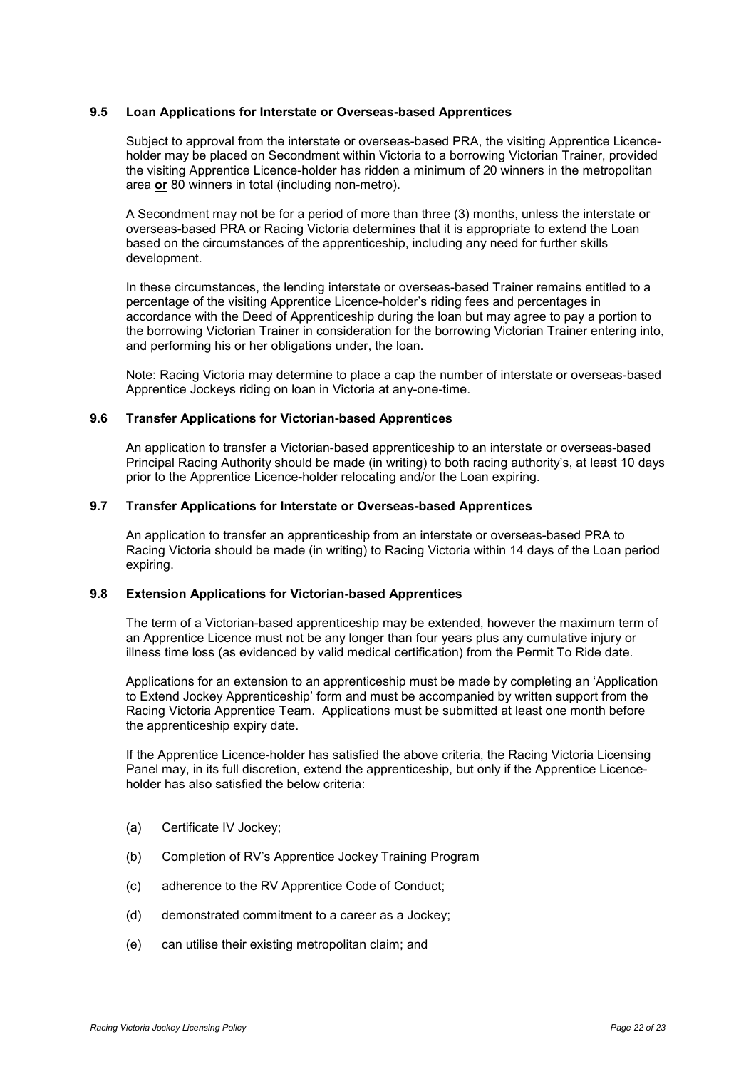#### <span id="page-24-0"></span>**9.5 Loan Applications for Interstate or Overseas-based Apprentices**

Subject to approval from the interstate or overseas-based PRA, the visiting Apprentice Licenceholder may be placed on Secondment within Victoria to a borrowing Victorian Trainer, provided the visiting Apprentice Licence-holder has ridden a minimum of 20 winners in the metropolitan area **or** 80 winners in total (including non-metro).

A Secondment may not be for a period of more than three (3) months, unless the interstate or overseas-based PRA or Racing Victoria determines that it is appropriate to extend the Loan based on the circumstances of the apprenticeship, including any need for further skills development.

In these circumstances, the lending interstate or overseas-based Trainer remains entitled to a percentage of the visiting Apprentice Licence-holder's riding fees and percentages in accordance with the Deed of Apprenticeship during the loan but may agree to pay a portion to the borrowing Victorian Trainer in consideration for the borrowing Victorian Trainer entering into, and performing his or her obligations under, the loan.

Note: Racing Victoria may determine to place a cap the number of interstate or overseas-based Apprentice Jockeys riding on loan in Victoria at any-one-time.

#### <span id="page-24-1"></span>**9.6 Transfer Applications for Victorian-based Apprentices**

An application to transfer a Victorian-based apprenticeship to an interstate or overseas-based Principal Racing Authority should be made (in writing) to both racing authority's, at least 10 days prior to the Apprentice Licence-holder relocating and/or the Loan expiring.

#### <span id="page-24-2"></span>**9.7 Transfer Applications for Interstate or Overseas-based Apprentices**

An application to transfer an apprenticeship from an interstate or overseas-based PRA to Racing Victoria should be made (in writing) to Racing Victoria within 14 days of the Loan period expiring.

## <span id="page-24-3"></span>**9.8 Extension Applications for Victorian-based Apprentices**

The term of a Victorian-based apprenticeship may be extended, however the maximum term of an Apprentice Licence must not be any longer than four years plus any cumulative injury or illness time loss (as evidenced by valid medical certification) from the Permit To Ride date.

Applications for an extension to an apprenticeship must be made by completing an 'Application to Extend Jockey Apprenticeship' form and must be accompanied by written support from the Racing Victoria Apprentice Team. Applications must be submitted at least one month before the apprenticeship expiry date.

If the Apprentice Licence-holder has satisfied the above criteria, the Racing Victoria Licensing Panel may, in its full discretion, extend the apprenticeship, but only if the Apprentice Licenceholder has also satisfied the below criteria:

- (a) Certificate IV Jockey;
- (b) Completion of RV's Apprentice Jockey Training Program
- (c) adherence to the RV Apprentice Code of Conduct;
- (d) demonstrated commitment to a career as a Jockey;
- (e) can utilise their existing metropolitan claim; and